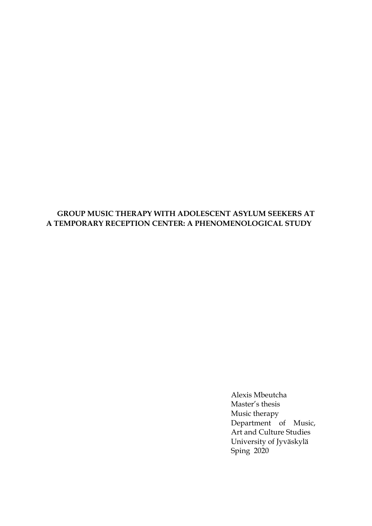### **GROUP MUSIC THERAPY WITH ADOLESCENT ASYLUM SEEKERS AT A TEMPORARY RECEPTION CENTER: A PHENOMENOLOGICAL STUDY**

Alexis Mbeutcha Master's thesis Music therapy Department of Music, Art and Culture Studies University of Jyväskylä Sping 2020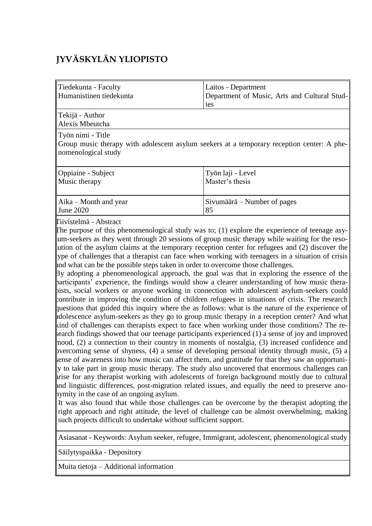# **JYVÄSKYLÄN YLIOPISTO**

| Tiedekunta - Faculty<br>Humanistinen tiedekunta | Laitos - Department<br>Department of Music, Arts and Cultural Stud- |
|-------------------------------------------------|---------------------------------------------------------------------|
|                                                 | <sub>1es</sub>                                                      |
|                                                 |                                                                     |

Tekijä - Author Alexis Mbeutcha

Työn nimi - Title

Group music therapy with adolescent asylum seekers at a temporary reception center: A phenomenological study

| Oppiaine - Subject                | Työn laji - Level           |
|-----------------------------------|-----------------------------|
| Music therapy                     | Master's thesis             |
| $\parallel$ Aika – Month and year | Sivumäärä – Number of pages |
| June $2020$                       | 85                          |

Tiivistelmä - Abstract

The purpose of this phenomenological study was to; (1) explore the experience of teenage asylum-seekers as they went through 20 sessions of group music therapy while waiting for the resolution of the asylum claims at the temporary reception center for refugees and (2) discover the type of challenges that a therapist can face when working with teenagers in a situation of crisis and what can be the possible steps taken in order to overcome those challenges.

By adopting a phenomenological approach, the goal was that in exploring the essence of the participants' experience, the findings would show a clearer understanding of how music therapists, social workers or anyone working in connection with adolescent asylum-seekers could contribute in improving the condition of children refugees in situations of crisis. The research questions that guided this inquiry where the as follows: what is the nature of the experience of adolescence asylum-seekers as they go to group music therapy in a reception center? And what kind of challenges can therapists expect to face when working under those conditions? The research findings showed that our teenage participants experienced  $(1)$  a sense of joy and improved mood, (2) a connection to their country in moments of nostalgia, (3) increased confidence and bvercoming sense of shyness, (4) a sense of developing personal identity through music, (5) a sense of awareness into how music can affect them, and gratitude for that they saw an opportuni- $\vert$ y to take part in group music therapy. The study also uncovered that enormous challenges can arise for any therapist working with adolescents of foreign background mostly due to cultural and linguistic differences, post-migration related issues, and equally the need to preserve anonymity in the case of an ongoing asylum.

It was also found that while those challenges can be overcome by the therapist adopting the right approach and right attitude, the level of challenge can be almost overwhelming, making such projects difficult to undertake without sufficient support.

Asiasanat - Keywords: Asylum seeker, refugee, Immigrant, adolescent, phenomenological study

Säilytyspaikka - Depository

Muita tietoja – Additional information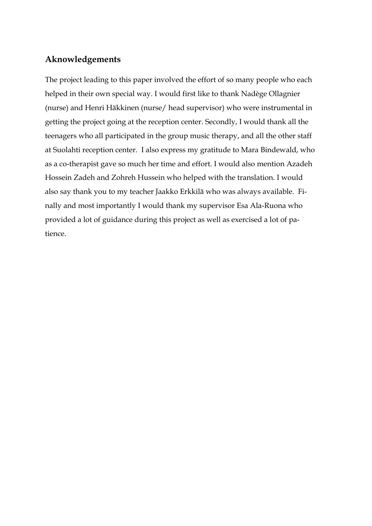# **Aknowledgements**

The project leading to this paper involved the effort of so many people who each helped in their own special way. I would first like to thank Nadège Ollagnier (nurse) and Henri Häkkinen (nurse/ head supervisor) who were instrumental in getting the project going at the reception center. Secondly, I would thank all the teenagers who all participated in the group music therapy, and all the other staff at Suolahti reception center. I also express my gratitude to Mara Bindewald, who as a co-therapist gave so much her time and effort. I would also mention Azadeh Hossein Zadeh and Zohreh Hussein who helped with the translation. I would also say thank you to my teacher Jaakko Erkkilä who was always available. Finally and most importantly I would thank my supervisor Esa Ala-Ruona who provided a lot of guidance during this project as well as exercised a lot of patience.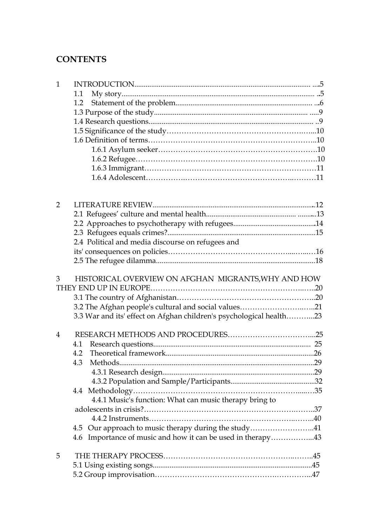# **CONTENTS**

| 1 |  |
|---|--|
|   |  |
|   |  |
|   |  |
|   |  |
|   |  |
|   |  |
|   |  |
|   |  |
|   |  |
|   |  |

| $\overline{2}$ |                                                                     |  |
|----------------|---------------------------------------------------------------------|--|
|                |                                                                     |  |
|                |                                                                     |  |
|                |                                                                     |  |
|                | 2.4 Political and media discourse on refugees and                   |  |
|                |                                                                     |  |
|                |                                                                     |  |
| 3              | HISTORICAL OVERVIEW ON AFGHAN MIGRANTS, WHY AND HOW                 |  |
|                |                                                                     |  |
|                |                                                                     |  |
|                | 3.2 The Afghan people's cultural and social values21                |  |
|                | 3.3 War and its' effect on Afghan children's psychological health23 |  |
| $\overline{4}$ |                                                                     |  |
|                | 4.1                                                                 |  |
|                | 4.2                                                                 |  |
|                | 4.3                                                                 |  |
|                |                                                                     |  |
|                |                                                                     |  |
|                |                                                                     |  |
|                | 4.4.1 Music's function: What can music therapy bring to             |  |
|                |                                                                     |  |
|                |                                                                     |  |
|                | 4.5 Our approach to music therapy during the study41                |  |
|                | 4.6 Importance of music and how it can be used in therapy43         |  |
| 5              |                                                                     |  |
|                |                                                                     |  |
|                |                                                                     |  |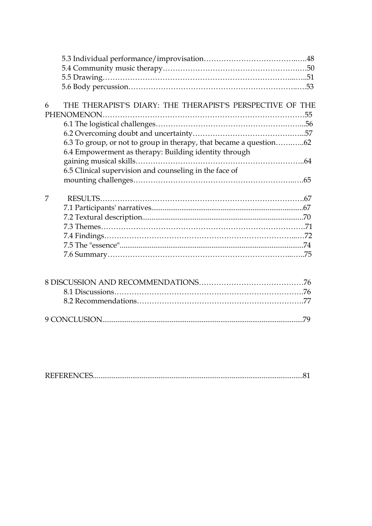| THE THERAPIST'S DIARY: THE THERAPIST'S PERSPECTIVE OF THE<br>6     |  |
|--------------------------------------------------------------------|--|
|                                                                    |  |
|                                                                    |  |
|                                                                    |  |
| 6.3 To group, or not to group in therapy, that became a question62 |  |
| 6.4 Empowerment as therapy: Building identity through              |  |
|                                                                    |  |
| 6.5 Clinical supervision and counseling in the face of             |  |
|                                                                    |  |
| 7                                                                  |  |
|                                                                    |  |
|                                                                    |  |
|                                                                    |  |
|                                                                    |  |
|                                                                    |  |
|                                                                    |  |
|                                                                    |  |
|                                                                    |  |
|                                                                    |  |
|                                                                    |  |

|--|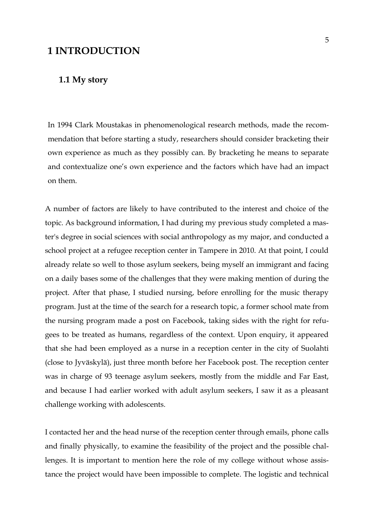# **1 INTRODUCTION**

## **1.1 My story**

In 1994 Clark Moustakas in phenomenological research methods, made the recommendation that before starting a study, researchers should consider bracketing their own experience as much as they possibly can. By bracketing he means to separate and contextualize one's own experience and the factors which have had an impact on them.

A number of factors are likely to have contributed to the interest and choice of the topic. As background information, I had during my previous study completed a master's degree in social sciences with social anthropology as my major, and conducted a school project at a refugee reception center in Tampere in 2010. At that point, I could already relate so well to those asylum seekers, being myself an immigrant and facing on a daily bases some of the challenges that they were making mention of during the project. After that phase, I studied nursing, before enrolling for the music therapy program. Just at the time of the search for a research topic, a former school mate from the nursing program made a post on Facebook, taking sides with the right for refugees to be treated as humans, regardless of the context. Upon enquiry, it appeared that she had been employed as a nurse in a reception center in the city of Suolahti (close to Jyväskylä), just three month before her Facebook post. The reception center was in charge of 93 teenage asylum seekers, mostly from the middle and Far East, and because I had earlier worked with adult asylum seekers, I saw it as a pleasant challenge working with adolescents.

I contacted her and the head nurse of the reception center through emails, phone calls and finally physically, to examine the feasibility of the project and the possible challenges. It is important to mention here the role of my college without whose assistance the project would have been impossible to complete. The logistic and technical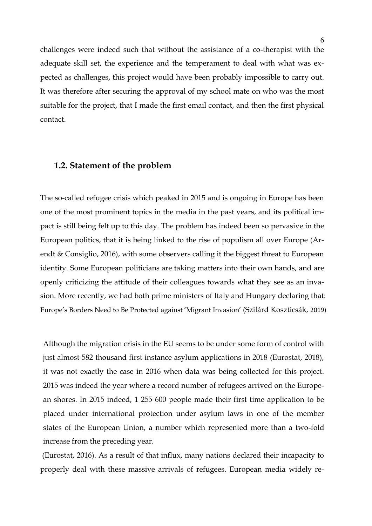challenges were indeed such that without the assistance of a co-therapist with the adequate skill set, the experience and the temperament to deal with what was expected as challenges, this project would have been probably impossible to carry out. It was therefore after securing the approval of my school mate on who was the most suitable for the project, that I made the first email contact, and then the first physical contact.

#### **1.2. Statement of the problem**

The so-called refugee crisis which peaked in 2015 and is ongoing in Europe has been one of the most prominent topics in the media in the past years, and its political impact is still being felt up to this day. The problem has indeed been so pervasive in the European politics, that it is being linked to the rise of populism all over Europe (Arendt & Consiglio, 2016), with some observers calling it the biggest threat to European identity. Some European politicians are taking matters into their own hands, and are openly criticizing the attitude of their colleagues towards what they see as an invasion. More recently, we had both prime ministers of Italy and Hungary declaring that: Europe's Borders Need to Be Protected against 'Migrant Invasion' (Szilárd Koszticsák, 2019)

Although the migration crisis in the EU seems to be under some form of control with just almost 582 thousand first instance asylum applications in 2018 (Eurostat, 2018), it was not exactly the case in 2016 when data was being collected for this project. 2015 was indeed the year where a record number of refugees arrived on the European shores. In 2015 indeed, 1 255 600 people made their first time application to be placed under international protection under asylum laws in one of the member states of the European Union, a number which represented more than a two-fold increase from the preceding year.

(Eurostat, 2016). As a result of that influx, many nations declared their incapacity to properly deal with these massive arrivals of refugees. European media widely re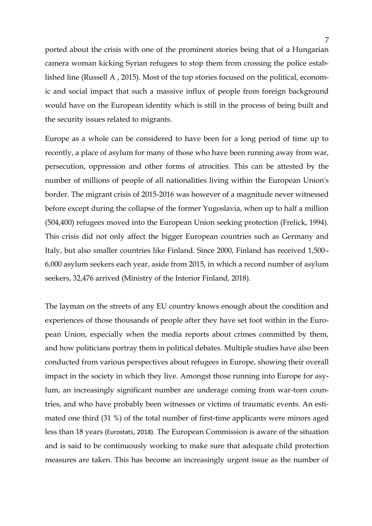ported about the crisis with one of the prominent stories being that of a Hungarian camera woman kicking Syrian refugees to stop them from crossing the police established line (Russell A , 2015). Most of the top stories focused on the political, economic and social impact that such a massive influx of people from foreign background would have on the European identity which is still in the process of being built and the security issues related to migrants.

Europe as a whole can be considered to have been for a long period of time up to recently, a place of asylum for many of those who have been running away from war, persecution, oppression and other forms of atrocities. This can be attested by the number of millions of people of all nationalities living within the European Union's border. The migrant crisis of 2015-2016 was however of a magnitude never witnessed before except during the collapse of the former Yugoslavia, when up to half a million (504,400) refugees moved into the European Union seeking protection (Frelick, 1994). This crisis did not only affect the bigger European countries such as Germany and Italy, but also smaller countries like Finland. Since 2000, Finland has received 1,500– 6,000 asylum seekers each year, aside from 2015, in which a record number of asylum seekers, 32,476 arrived (Ministry of the Interior Finland, 2018).

The layman on the streets of any EU country knows enough about the condition and experiences of those thousands of people after they have set foot within in the European Union, especially when the media reports about crimes committed by them, and how politicians portray them in political debates. Multiple studies have also been conducted from various perspectives about refugees in Europe, showing their overall impact in the society in which they live. Amongst those running into Europe for asylum, an increasingly significant number are underage coming from war-torn countries, and who have probably been witnesses or victims of traumatic events. An estimated one third (31 %) of the total number of first-time applicants were minors aged less than 18 years (Eurostats, 2018). The European Commission is aware of the situation and is said to be continuously working to make sure that adequate child protection measures are taken. This has become an increasingly urgent issue as the number of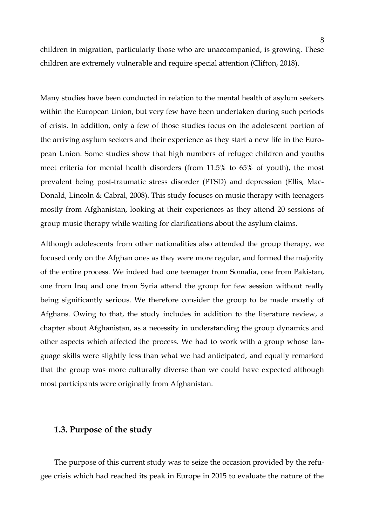children in migration, particularly those who are unaccompanied, is growing. These children are extremely vulnerable and require special attention (Clifton, 2018).

Many studies have been conducted in relation to the mental health of asylum seekers within the European Union, but very few have been undertaken during such periods of crisis. In addition, only a few of those studies focus on the adolescent portion of the arriving asylum seekers and their experience as they start a new life in the European Union. Some studies show that high numbers of refugee children and youths meet criteria for mental health disorders (from 11.5% to 65% of youth), the most prevalent being post-traumatic stress disorder (PTSD) and depression (Ellis, Mac-Donald, Lincoln & Cabral, 2008). This study focuses on music therapy with teenagers mostly from Afghanistan, looking at their experiences as they attend 20 sessions of group music therapy while waiting for clarifications about the asylum claims.

Although adolescents from other nationalities also attended the group therapy, we focused only on the Afghan ones as they were more regular, and formed the majority of the entire process. We indeed had one teenager from Somalia, one from Pakistan, one from Iraq and one from Syria attend the group for few session without really being significantly serious. We therefore consider the group to be made mostly of Afghans. Owing to that, the study includes in addition to the literature review, a chapter about Afghanistan, as a necessity in understanding the group dynamics and other aspects which affected the process. We had to work with a group whose language skills were slightly less than what we had anticipated, and equally remarked that the group was more culturally diverse than we could have expected although most participants were originally from Afghanistan.

#### **1.3. Purpose of the study**

The purpose of this current study was to seize the occasion provided by the refugee crisis which had reached its peak in Europe in 2015 to evaluate the nature of the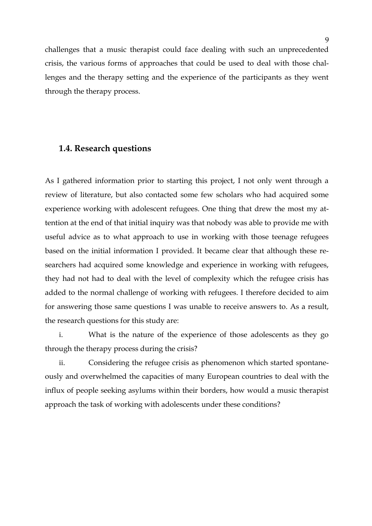challenges that a music therapist could face dealing with such an unprecedented crisis, the various forms of approaches that could be used to deal with those challenges and the therapy setting and the experience of the participants as they went through the therapy process.

### **1.4. Research questions**

As I gathered information prior to starting this project, I not only went through a review of literature, but also contacted some few scholars who had acquired some experience working with adolescent refugees. One thing that drew the most my attention at the end of that initial inquiry was that nobody was able to provide me with useful advice as to what approach to use in working with those teenage refugees based on the initial information I provided. It became clear that although these researchers had acquired some knowledge and experience in working with refugees, they had not had to deal with the level of complexity which the refugee crisis has added to the normal challenge of working with refugees. I therefore decided to aim for answering those same questions I was unable to receive answers to. As a result, the research questions for this study are:

i. What is the nature of the experience of those adolescents as they go through the therapy process during the crisis?

ii. Considering the refugee crisis as phenomenon which started spontaneously and overwhelmed the capacities of many European countries to deal with the influx of people seeking asylums within their borders, how would a music therapist approach the task of working with adolescents under these conditions?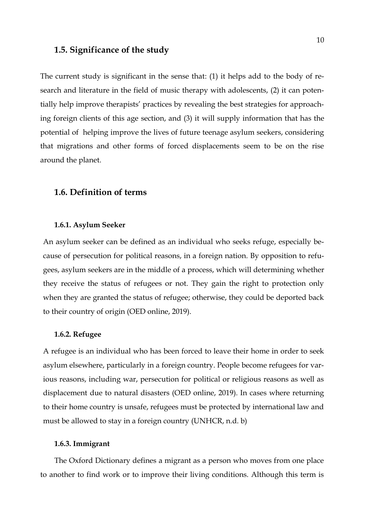### **1.5. Significance of the study**

The current study is significant in the sense that: (1) it helps add to the body of research and literature in the field of music therapy with adolescents, (2) it can potentially help improve therapists' practices by revealing the best strategies for approaching foreign clients of this age section, and (3) it will supply information that has the potential of helping improve the lives of future teenage asylum seekers, considering that migrations and other forms of forced displacements seem to be on the rise around the planet.

### **1.6. Definition of terms**

#### **1.6.1. Asylum Seeker**

An asylum seeker can be defined as an individual who seeks refuge, especially because of persecution for political reasons, in a foreign nation. By opposition to refugees, asylum seekers are in the middle of a process, which will determining whether they receive the status of refugees or not. They gain the right to protection only when they are granted the status of refugee; otherwise, they could be deported back to their country of origin (OED online, 2019).

#### **1.6.2. Refugee**

A refugee is an individual who has been forced to leave their home in order to seek asylum elsewhere, particularly in a foreign country. People become refugees for various reasons, including war, persecution for political or religious reasons as well as displacement due to natural disasters (OED online, 2019). In cases where returning to their home country is unsafe, refugees must be protected by international law and must be allowed to stay in a foreign country (UNHCR, n.d. b)

#### **1.6.3. Immigrant**

The Oxford Dictionary defines a migrant as a person who moves from one place to another to find work or to improve their living conditions. Although this term is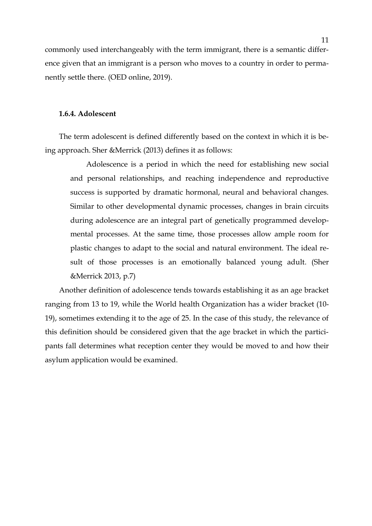commonly used interchangeably with the term immigrant, there is a semantic difference given that an immigrant is a person who moves to a country in order to permanently settle there. (OED online, 2019).

#### **1.6.4. Adolescent**

The term adolescent is defined differently based on the context in which it is being approach. Sher &Merrick (2013) defines it as follows:

Adolescence is a period in which the need for establishing new social and personal relationships, and reaching independence and reproductive success is supported by dramatic hormonal, neural and behavioral changes. Similar to other developmental dynamic processes, changes in brain circuits during adolescence are an integral part of genetically programmed developmental processes. At the same time, those processes allow ample room for plastic changes to adapt to the social and natural environment. The ideal result of those processes is an emotionally balanced young adult. (Sher &Merrick 2013, p.7)

Another definition of adolescence tends towards establishing it as an age bracket ranging from 13 to 19, while the World health Organization has a wider bracket (10- 19), sometimes extending it to the age of 25. In the case of this study, the relevance of this definition should be considered given that the age bracket in which the participants fall determines what reception center they would be moved to and how their asylum application would be examined.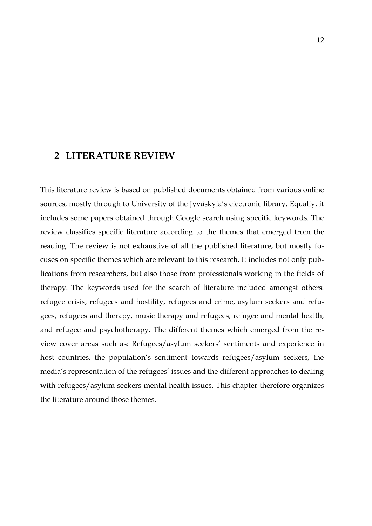# **2 LITERATURE REVIEW**

This literature review is based on published documents obtained from various online sources, mostly through to University of the Jyväskylä's electronic library. Equally, it includes some papers obtained through Google search using specific keywords. The review classifies specific literature according to the themes that emerged from the reading. The review is not exhaustive of all the published literature, but mostly focuses on specific themes which are relevant to this research. It includes not only publications from researchers, but also those from professionals working in the fields of therapy. The keywords used for the search of literature included amongst others: refugee crisis, refugees and hostility, refugees and crime, asylum seekers and refugees, refugees and therapy, music therapy and refugees, refugee and mental health, and refugee and psychotherapy. The different themes which emerged from the review cover areas such as: Refugees/asylum seekers' sentiments and experience in host countries, the population's sentiment towards refugees/asylum seekers, the media's representation of the refugees' issues and the different approaches to dealing with refugees/asylum seekers mental health issues. This chapter therefore organizes the literature around those themes.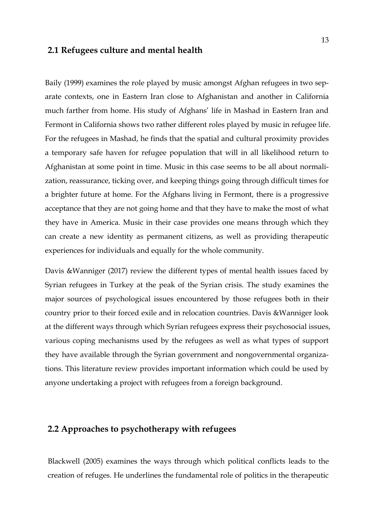### **2.1 Refugees culture and mental health**

Baily (1999) examines the role played by music amongst Afghan refugees in two separate contexts, one in Eastern Iran close to Afghanistan and another in California much farther from home. His study of Afghans' life in Mashad in Eastern Iran and Fermont in California shows two rather different roles played by music in refugee life. For the refugees in Mashad, he finds that the spatial and cultural proximity provides a temporary safe haven for refugee population that will in all likelihood return to Afghanistan at some point in time. Music in this case seems to be all about normalization, reassurance, ticking over, and keeping things going through difficult times for a brighter future at home. For the Afghans living in Fermont, there is a progressive acceptance that they are not going home and that they have to make the most of what they have in America. Music in their case provides one means through which they can create a new identity as permanent citizens, as well as providing therapeutic experiences for individuals and equally for the whole community.

Davis &Wanniger (2017) review the different types of mental health issues faced by Syrian refugees in Turkey at the peak of the Syrian crisis. The study examines the major sources of psychological issues encountered by those refugees both in their country prior to their forced exile and in relocation countries. Davis &Wanniger look at the different ways through which Syrian refugees express their psychosocial issues, various coping mechanisms used by the refugees as well as what types of support they have available through the Syrian government and nongovernmental organizations. This literature review provides important information which could be used by anyone undertaking a project with refugees from a foreign background.

# **2.2 Approaches to psychotherapy with refugees**

Blackwell (2005) examines the ways through which political conflicts leads to the creation of refuges. He underlines the fundamental role of politics in the therapeutic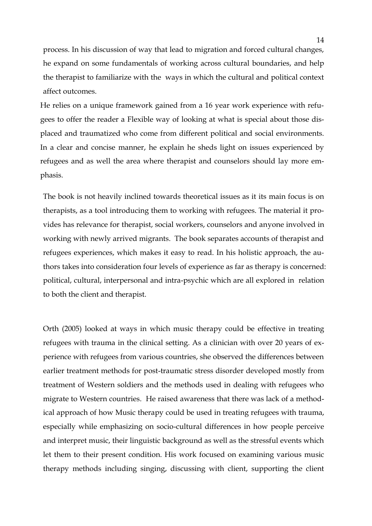process. In his discussion of way that lead to migration and forced cultural changes, he expand on some fundamentals of working across cultural boundaries, and help the therapist to familiarize with the ways in which the cultural and political context affect outcomes.

He relies on a unique framework gained from a 16 year work experience with refugees to offer the reader a Flexible way of looking at what is special about those displaced and traumatized who come from different political and social environments. In a clear and concise manner, he explain he sheds light on issues experienced by refugees and as well the area where therapist and counselors should lay more emphasis.

The book is not heavily inclined towards theoretical issues as it its main focus is on therapists, as a tool introducing them to working with refugees. The material it provides has relevance for therapist, social workers, counselors and anyone involved in working with newly arrived migrants. The book separates accounts of therapist and refugees experiences, which makes it easy to read. In his holistic approach, the authors takes into consideration four levels of experience as far as therapy is concerned: political, cultural, interpersonal and intra-psychic which are all explored in relation to both the client and therapist.

Orth (2005) looked at ways in which music therapy could be effective in treating refugees with trauma in the clinical setting. As a clinician with over 20 years of experience with refugees from various countries, she observed the differences between earlier treatment methods for post-traumatic stress disorder developed mostly from treatment of Western soldiers and the methods used in dealing with refugees who migrate to Western countries. He raised awareness that there was lack of a methodical approach of how Music therapy could be used in treating refugees with trauma, especially while emphasizing on socio-cultural differences in how people perceive and interpret music, their linguistic background as well as the stressful events which let them to their present condition. His work focused on examining various music therapy methods including singing, discussing with client, supporting the client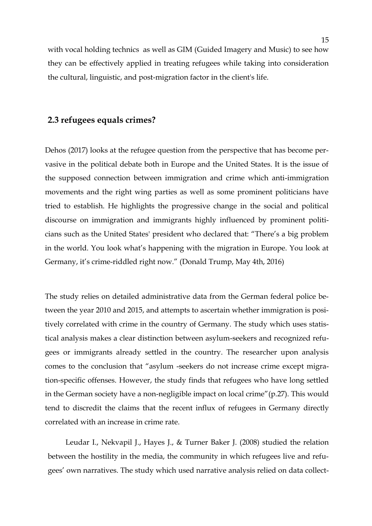with vocal holding technics as well as GIM (Guided Imagery and Music) to see how they can be effectively applied in treating refugees while taking into consideration the cultural, linguistic, and post-migration factor in the client's life.

### **2.3 refugees equals crimes?**

Dehos (2017) looks at the refugee question from the perspective that has become pervasive in the political debate both in Europe and the United States. It is the issue of the supposed connection between immigration and crime which anti-immigration movements and the right wing parties as well as some prominent politicians have tried to establish. He highlights the progressive change in the social and political discourse on immigration and immigrants highly influenced by prominent politicians such as the United States' president who declared that: "There's a big problem in the world. You look what's happening with the migration in Europe. You look at Germany, it's crime-riddled right now." (Donald Trump, May 4th, 2016)

The study relies on detailed administrative data from the German federal police between the year 2010 and 2015, and attempts to ascertain whether immigration is positively correlated with crime in the country of Germany. The study which uses statistical analysis makes a clear distinction between asylum-seekers and recognized refugees or immigrants already settled in the country. The researcher upon analysis comes to the conclusion that "asylum -seekers do not increase crime except migration-specific offenses. However, the study finds that refugees who have long settled in the German society have a non-negligible impact on local crime"(p.27). This would tend to discredit the claims that the recent influx of refugees in Germany directly correlated with an increase in crime rate.

Leudar I., Nekvapil J., Hayes J., & Turner Baker J. (2008) studied the relation between the hostility in the media, the community in which refugees live and refugees' own narratives. The study which used narrative analysis relied on data collect-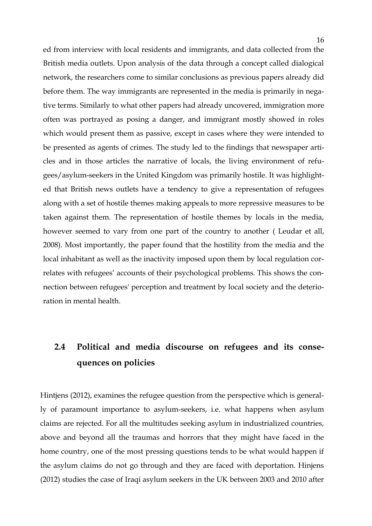ed from interview with local residents and immigrants, and data collected from the British media outlets. Upon analysis of the data through a concept called dialogical network, the researchers come to similar conclusions as previous papers already did before them. The way immigrants are represented in the media is primarily in negative terms. Similarly to what other papers had already uncovered, immigration more often was portrayed as posing a danger, and immigrant mostly showed in roles which would present them as passive, except in cases where they were intended to be presented as agents of crimes. The study led to the findings that newspaper articles and in those articles the narrative of locals, the living environment of refugees/asylum-seekers in the United Kingdom was primarily hostile. It was highlighted that British news outlets have a tendency to give a representation of refugees along with a set of hostile themes making appeals to more repressive measures to be taken against them. The representation of hostile themes by locals in the media, however seemed to vary from one part of the country to another ( Leudar et all, 2008). Most importantly, the paper found that the hostility from the media and the local inhabitant as well as the inactivity imposed upon them by local regulation correlates with refugees' accounts of their psychological problems. This shows the connection between refugees' perception and treatment by local society and the deterioration in mental health.

# **2.4 Political and media discourse on refugees and its consequences on policies**

Hintjens (2012), examines the refugee question from the perspective which is generally of paramount importance to asylum-seekers, i.e. what happens when asylum claims are rejected. For all the multitudes seeking asylum in industrialized countries, above and beyond all the traumas and horrors that they might have faced in the home country, one of the most pressing questions tends to be what would happen if the asylum claims do not go through and they are faced with deportation. Hinjens (2012) studies the case of Iraqi asylum seekers in the UK between 2003 and 2010 after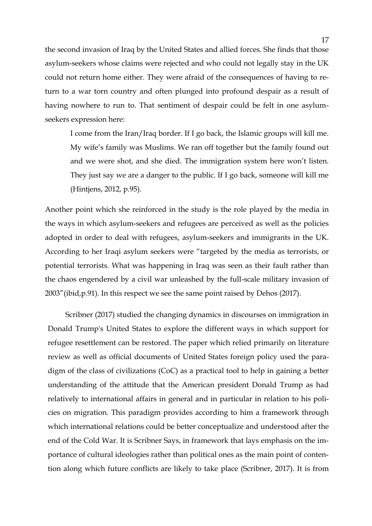the second invasion of Iraq by the United States and allied forces. She finds that those asylum-seekers whose claims were rejected and who could not legally stay in the UK could not return home either. They were afraid of the consequences of having to return to a war torn country and often plunged into profound despair as a result of having nowhere to run to. That sentiment of despair could be felt in one asylumseekers expression here:

I come from the Iran/Iraq border. If I go back, the Islamic groups will kill me. My wife's family was Muslims. We ran off together but the family found out and we were shot, and she died. The immigration system here won't listen. They just say we are a danger to the public. If I go back, someone will kill me (Hintjens, 2012, p.95).

Another point which she reinforced in the study is the role played by the media in the ways in which asylum-seekers and refugees are perceived as well as the policies adopted in order to deal with refugees, asylum-seekers and immigrants in the UK. According to her Iraqi asylum seekers were "targeted by the media as terrorists, or potential terrorists. What was happening in Iraq was seen as their fault rather than the chaos engendered by a civil war unleashed by the full-scale military invasion of 2003"(ibid,p.91). In this respect we see the same point raised by Dehos (2017).

Scribner (2017) studied the changing dynamics in discourses on immigration in Donald Trump's United States to explore the different ways in which support for refugee resettlement can be restored. The paper which relied primarily on literature review as well as official documents of United States foreign policy used the paradigm of the class of civilizations (CoC) as a practical tool to help in gaining a better understanding of the attitude that the American president Donald Trump as had relatively to international affairs in general and in particular in relation to his policies on migration. This paradigm provides according to him a framework through which international relations could be better conceptualize and understood after the end of the Cold War. It is Scribner Says, in framework that lays emphasis on the importance of cultural ideologies rather than political ones as the main point of contention along which future conflicts are likely to take place (Scribner, 2017). It is from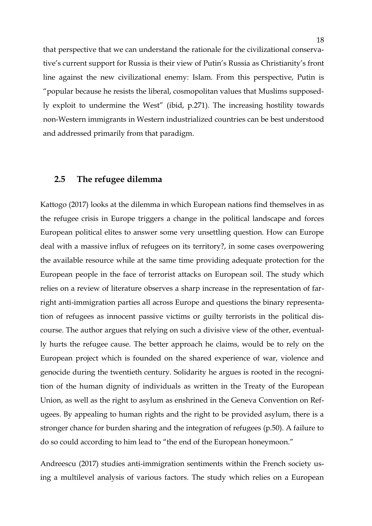that perspective that we can understand the rationale for the civilizational conservative's current support for Russia is their view of Putin's Russia as Christianity's front line against the new civilizational enemy: Islam. From this perspective, Putin is "popular because he resists the liberal, cosmopolitan values that Muslims supposedly exploit to undermine the West" (ibid, p.271). The increasing hostility towards non-Western immigrants in Western industrialized countries can be best understood and addressed primarily from that paradigm.

### **2.5 The refugee dilemma**

Kattogo (2017) looks at the dilemma in which European nations find themselves in as the refugee crisis in Europe triggers a change in the political landscape and forces European political elites to answer some very unsettling question. How can Europe deal with a massive influx of refugees on its territory?, in some cases overpowering the available resource while at the same time providing adequate protection for the European people in the face of terrorist attacks on European soil. The study which relies on a review of literature observes a sharp increase in the representation of farright anti-immigration parties all across Europe and questions the binary representation of refugees as innocent passive victims or guilty terrorists in the political discourse. The author argues that relying on such a divisive view of the other, eventually hurts the refugee cause. The better approach he claims, would be to rely on the European project which is founded on the shared experience of war, violence and genocide during the twentieth century. Solidarity he argues is rooted in the recognition of the human dignity of individuals as written in the Treaty of the European Union, as well as the right to asylum as enshrined in the Geneva Convention on Refugees. By appealing to human rights and the right to be provided asylum, there is a stronger chance for burden sharing and the integration of refugees (p.50). A failure to do so could according to him lead to "the end of the European honeymoon."

Andreescu (2017) studies anti-immigration sentiments within the French society using a multilevel analysis of various factors. The study which relies on a European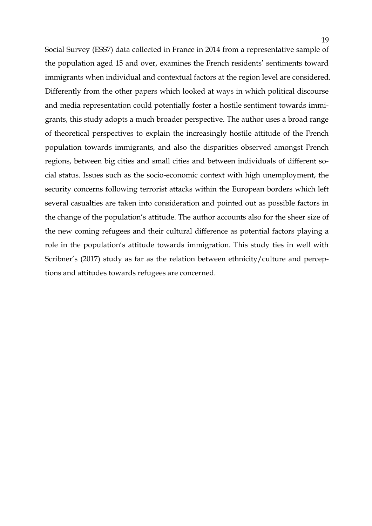Social Survey (ESS7) data collected in France in 2014 from a representative sample of the population aged 15 and over, examines the French residents' sentiments toward immigrants when individual and contextual factors at the region level are considered. Differently from the other papers which looked at ways in which political discourse and media representation could potentially foster a hostile sentiment towards immigrants, this study adopts a much broader perspective. The author uses a broad range of theoretical perspectives to explain the increasingly hostile attitude of the French population towards immigrants, and also the disparities observed amongst French regions, between big cities and small cities and between individuals of different social status. Issues such as the socio-economic context with high unemployment, the security concerns following terrorist attacks within the European borders which left several casualties are taken into consideration and pointed out as possible factors in the change of the population's attitude. The author accounts also for the sheer size of the new coming refugees and their cultural difference as potential factors playing a role in the population's attitude towards immigration. This study ties in well with Scribner's (2017) study as far as the relation between ethnicity/culture and perceptions and attitudes towards refugees are concerned.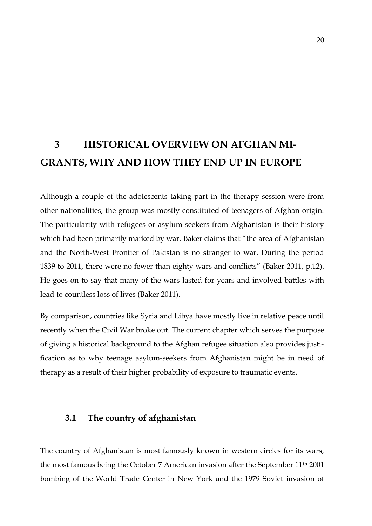# **3 HISTORICAL OVERVIEW ON AFGHAN MI-GRANTS, WHY AND HOW THEY END UP IN EUROPE**

Although a couple of the adolescents taking part in the therapy session were from other nationalities, the group was mostly constituted of teenagers of Afghan origin. The particularity with refugees or asylum-seekers from Afghanistan is their history which had been primarily marked by war. Baker claims that "the area of Afghanistan and the North-West Frontier of Pakistan is no stranger to war. During the period 1839 to 2011, there were no fewer than eighty wars and conflicts" (Baker 2011, p.12). He goes on to say that many of the wars lasted for years and involved battles with lead to countless loss of lives (Baker 2011).

By comparison, countries like Syria and Libya have mostly live in relative peace until recently when the Civil War broke out. The current chapter which serves the purpose of giving a historical background to the Afghan refugee situation also provides justification as to why teenage asylum-seekers from Afghanistan might be in need of therapy as a result of their higher probability of exposure to traumatic events.

### **3.1 The country of afghanistan**

The country of Afghanistan is most famously known in western circles for its wars, the most famous being the October 7 American invasion after the September 11th 2001 bombing of the World Trade Center in New York and the 1979 Soviet invasion of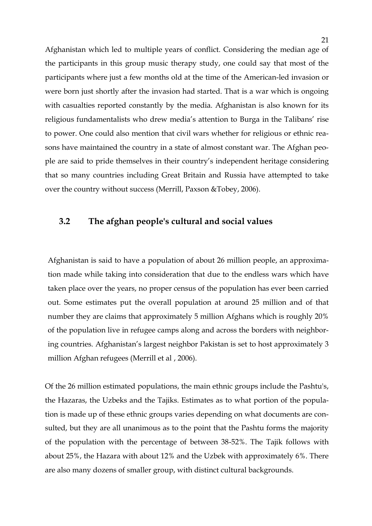Afghanistan which led to multiple years of conflict. Considering the median age of the participants in this group music therapy study, one could say that most of the participants where just a few months old at the time of the American-led invasion or were born just shortly after the invasion had started. That is a war which is ongoing with casualties reported constantly by the media. Afghanistan is also known for its religious fundamentalists who drew media's attention to Burga in the Talibans' rise to power. One could also mention that civil wars whether for religious or ethnic reasons have maintained the country in a state of almost constant war. The Afghan people are said to pride themselves in their country's independent heritage considering that so many countries including Great Britain and Russia have attempted to take over the country without success (Merrill, Paxson &Tobey, 2006).

### **3.2 The afghan people's cultural and social values**

Afghanistan is said to have a population of about 26 million people, an approximation made while taking into consideration that due to the endless wars which have taken place over the years, no proper census of the population has ever been carried out. Some estimates put the overall population at around 25 million and of that number they are claims that approximately 5 million Afghans which is roughly 20% of the population live in refugee camps along and across the borders with neighboring countries. Afghanistan's largest neighbor Pakistan is set to host approximately 3 million Afghan refugees (Merrill et al, 2006).

Of the 26 million estimated populations, the main ethnic groups include the Pashtu's, the Hazaras, the Uzbeks and the Tajiks. Estimates as to what portion of the population is made up of these ethnic groups varies depending on what documents are consulted, but they are all unanimous as to the point that the Pashtu forms the majority of the population with the percentage of between 38-52%. The Tajik follows with about 25%, the Hazara with about 12% and the Uzbek with approximately 6%. There are also many dozens of smaller group, with distinct cultural backgrounds.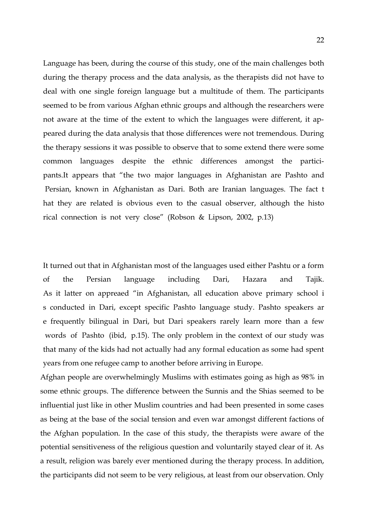Language has been, during the course of this study, one of the main challenges both during the therapy process and the data analysis, as the therapists did not have to deal with one single foreign language but a multitude of them. The participants seemed to be from various Afghan ethnic groups and although the researchers were not aware at the time of the extent to which the languages were different, it appeared during the data analysis that those differences were not tremendous. During the therapy sessions it was possible to observe that to some extend there were some common languages despite the ethnic differences amongst the participants.It appears that "the two major languages in Afghanistan are Pashto and Persian, known in Afghanistan as Dari. Both are Iranian languages. The fact t hat they are related is obvious even to the casual observer, although the histo rical connection is not very close" (Robson & Lipson, 2002, p.13)

It turned out that in Afghanistan most of the languages used either Pashtu or a form of the Persian language including Dari, Hazara and Tajik. As it latter on appreaed "in Afghanistan, all education above primary school i s conducted in Dari, except specific Pashto language study. Pashto speakers ar e frequently bilingual in Dari, but Dari speakers rarely learn more than a few words of Pashto (ibid, p.15). The only problem in the context of our study was that many of the kids had not actually had any formal education as some had spent years from one refugee camp to another before arriving in Europe.

Afghan people are overwhelmingly Muslims with estimates going as high as 98% in some ethnic groups. The difference between the Sunnis and the Shias seemed to be influential just like in other Muslim countries and had been presented in some cases as being at the base of the social tension and even war amongst different factions of the Afghan population. In the case of this study, the therapists were aware of the potential sensitiveness of the religious question and voluntarily stayed clear of it. As a result, religion was barely ever mentioned during the therapy process. In addition, the participants did not seem to be very religious, at least from our observation. Only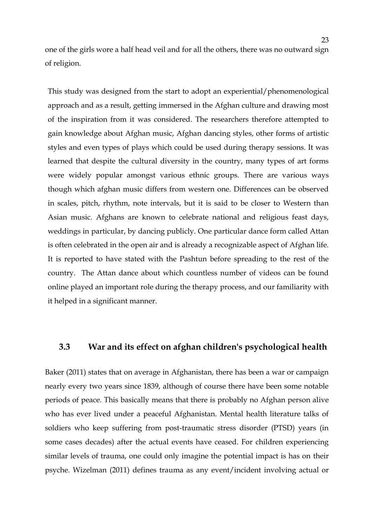one of the girls wore a half head veil and for all the others, there was no outward sign of religion.

This study was designed from the start to adopt an experiential/phenomenological approach and as a result, getting immersed in the Afghan culture and drawing most of the inspiration from it was considered. The researchers therefore attempted to gain knowledge about Afghan music, Afghan dancing styles, other forms of artistic styles and even types of plays which could be used during therapy sessions. It was learned that despite the cultural diversity in the country, many types of art forms were widely popular amongst various ethnic groups. There are various ways though which afghan music differs from western one. Differences can be observed in scales, pitch, rhythm, note intervals, but it is said to be closer to Western than Asian music. Afghans are known to celebrate national and religious feast days, weddings in particular, by dancing publicly. One particular dance form called Attan is often celebrated in the open air and is already a recognizable aspect of Afghan life. It is reported to have stated with the Pashtun before spreading to the rest of the country. The Attan dance about which countless number of videos can be found online played an important role during the therapy process, and our familiarity with it helped in a significant manner.

### **3.3 War and its effect on afghan children's psychological health**

Baker (2011) states that on average in Afghanistan, there has been a war or campaign nearly every two years since 1839, although of course there have been some notable periods of peace. This basically means that there is probably no Afghan person alive who has ever lived under a peaceful Afghanistan. Mental health literature talks of soldiers who keep suffering from post-traumatic stress disorder (PTSD) years (in some cases decades) after the actual events have ceased. For children experiencing similar levels of trauma, one could only imagine the potential impact is has on their psyche. Wizelman (2011) defines trauma as any event/incident involving actual or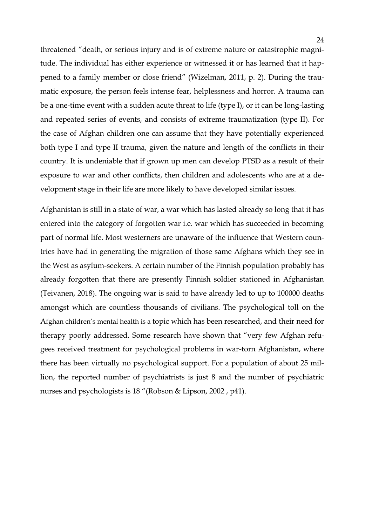threatened "death, or serious injury and is of extreme nature or catastrophic magnitude. The individual has either experience or witnessed it or has learned that it happened to a family member or close friend" (Wizelman, 2011, p. 2). During the traumatic exposure, the person feels intense fear, helplessness and horror. A trauma can be a one-time event with a sudden acute threat to life (type I), or it can be long-lasting and repeated series of events, and consists of extreme traumatization (type II). For the case of Afghan children one can assume that they have potentially experienced both type I and type II trauma, given the nature and length of the conflicts in their country. It is undeniable that if grown up men can develop PTSD as a result of their exposure to war and other conflicts, then children and adolescents who are at a development stage in their life are more likely to have developed similar issues.

Afghanistan is still in a state of war, a war which has lasted already so long that it has entered into the category of forgotten war i.e. war which has succeeded in becoming part of normal life. Most westerners are unaware of the influence that Western countries have had in generating the migration of those same Afghans which they see in the West as asylum-seekers. A certain number of the Finnish population probably has already forgotten that there are presently Finnish soldier stationed in Afghanistan (Teivanen, 2018). The ongoing war is said to have already led to up to 100000 deaths amongst which are countless thousands of civilians. The psychological toll on the Afghan children's mental health is a topic which has been researched, and their need for therapy poorly addressed. Some research have shown that "very few Afghan refugees received treatment for psychological problems in war-torn Afghanistan, where there has been virtually no psychological support. For a population of about 25 million, the reported number of psychiatrists is just 8 and the number of psychiatric nurses and psychologists is 18 "(Robson & Lipson, 2002 , p41).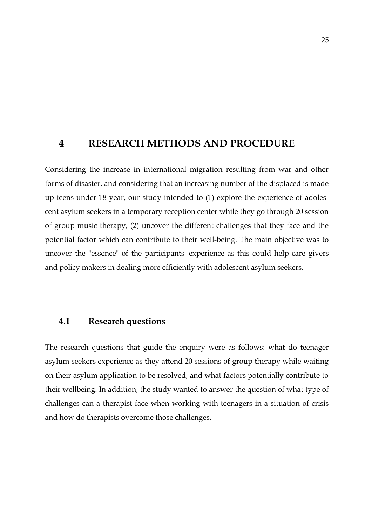### **4 RESEARCH METHODS AND PROCEDURE**

Considering the increase in international migration resulting from war and other forms of disaster, and considering that an increasing number of the displaced is made up teens under 18 year, our study intended to (1) explore the experience of adolescent asylum seekers in a temporary reception center while they go through 20 session of group music therapy, (2) uncover the different challenges that they face and the potential factor which can contribute to their well-being. The main objective was to uncover the "essence" of the participants' experience as this could help care givers and policy makers in dealing more efficiently with adolescent asylum seekers.

### **4.1 Research questions**

The research questions that guide the enquiry were as follows: what do teenager asylum seekers experience as they attend 20 sessions of group therapy while waiting on their asylum application to be resolved, and what factors potentially contribute to their wellbeing. In addition, the study wanted to answer the question of what type of challenges can a therapist face when working with teenagers in a situation of crisis and how do therapists overcome those challenges.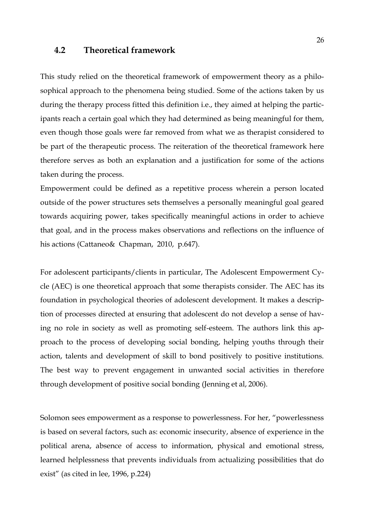### **4.2 Theoretical framework**

This study relied on the theoretical framework of empowerment theory as a philosophical approach to the phenomena being studied. Some of the actions taken by us during the therapy process fitted this definition i.e., they aimed at helping the participants reach a certain goal which they had determined as being meaningful for them, even though those goals were far removed from what we as therapist considered to be part of the therapeutic process. The reiteration of the theoretical framework here therefore serves as both an explanation and a justification for some of the actions taken during the process.

Empowerment could be defined as a repetitive process wherein a person located outside of the power structures sets themselves a personally meaningful goal geared towards acquiring power, takes specifically meaningful actions in order to achieve that goal, and in the process makes observations and reflections on the influence of his actions (Cattaneo& Chapman, 2010, p.647).

For adolescent participants/clients in particular, The Adolescent Empowerment Cycle (AEC) is one theoretical approach that some therapists consider. The AEC has its foundation in psychological theories of adolescent development. It makes a description of processes directed at ensuring that adolescent do not develop a sense of having no role in society as well as promoting self-esteem. The authors link this approach to the process of developing social bonding, helping youths through their action, talents and development of skill to bond positively to positive institutions. The best way to prevent engagement in unwanted social activities in therefore through development of positive social bonding (Jenning et al, 2006).

Solomon sees empowerment as a response to powerlessness. For her, "powerlessness is based on several factors, such as: economic insecurity, absence of experience in the political arena, absence of access to information, physical and emotional stress, learned helplessness that prevents individuals from actualizing possibilities that do exist" (as cited in lee, 1996, p.224)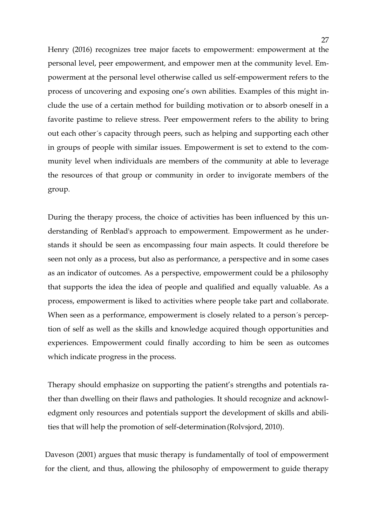Henry (2016) recognizes tree major facets to empowerment: empowerment at the personal level, peer empowerment, and empower men at the community level. Empowerment at the personal level otherwise called us self-empowerment refers to the process of uncovering and exposing one's own abilities. Examples of this might include the use of a certain method for building motivation or to absorb oneself in a favorite pastime to relieve stress. Peer empowerment refers to the ability to bring out each other´s capacity through peers, such as helping and supporting each other in groups of people with similar issues. Empowerment is set to extend to the community level when individuals are members of the community at able to leverage the resources of that group or community in order to invigorate members of the group.

During the therapy process, the choice of activities has been influenced by this understanding of Renblad's approach to empowerment. Empowerment as he understands it should be seen as encompassing four main aspects. It could therefore be seen not only as a process, but also as performance, a perspective and in some cases as an indicator of outcomes. As a perspective, empowerment could be a philosophy that supports the idea the idea of people and qualified and equally valuable. As a process, empowerment is liked to activities where people take part and collaborate. When seen as a performance, empowerment is closely related to a person's perception of self as well as the skills and knowledge acquired though opportunities and experiences. Empowerment could finally according to him be seen as outcomes which indicate progress in the process.

Therapy should emphasize on supporting the patient's strengths and potentials rather than dwelling on their flaws and pathologies. It should recognize and acknowledgment only resources and potentials support the development of skills and abilities that will help the promotion of self-determination (Rolvsjord, 2010).

Daveson (2001) argues that music therapy is fundamentally of tool of empowerment for the client, and thus, allowing the philosophy of empowerment to guide therapy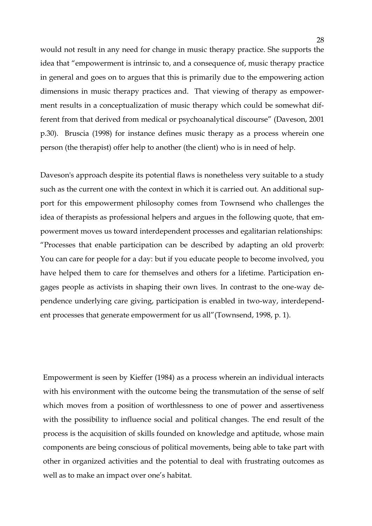would not result in any need for change in music therapy practice. She supports the idea that "empowerment is intrinsic to, and a consequence of, music therapy practice in general and goes on to argues that this is primarily due to the empowering action dimensions in music therapy practices and. That viewing of therapy as empowerment results in a conceptualization of music therapy which could be somewhat different from that derived from medical or psychoanalytical discourse" (Daveson, 2001 p.30). Bruscia (1998) for instance defines music therapy as a process wherein one person (the therapist) offer help to another (the client) who is in need of help.

Daveson's approach despite its potential flaws is nonetheless very suitable to a study such as the current one with the context in which it is carried out. An additional support for this empowerment philosophy comes from Townsend who challenges the idea of therapists as professional helpers and argues in the following quote, that empowerment moves us toward interdependent processes and egalitarian relationships: "Processes that enable participation can be described by adapting an old proverb: You can care for people for a day: but if you educate people to become involved, you have helped them to care for themselves and others for a lifetime. Participation engages people as activists in shaping their own lives. In contrast to the one-way dependence underlying care giving, participation is enabled in two-way, interdependent processes that generate empowerment for us all"(Townsend, 1998, p. 1).

Empowerment is seen by Kieffer (1984) as a process wherein an individual interacts with his environment with the outcome being the transmutation of the sense of self which moves from a position of worthlessness to one of power and assertiveness with the possibility to influence social and political changes. The end result of the process is the acquisition of skills founded on knowledge and aptitude, whose main components are being conscious of political movements, being able to take part with other in organized activities and the potential to deal with frustrating outcomes as well as to make an impact over one's habitat.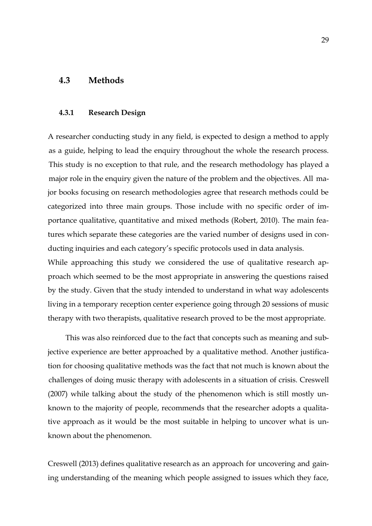### **4.3 Methods**

#### **4.3.1 Research Design**

A researcher conducting study in any field, is expected to design a method to apply as a guide, helping to lead the enquiry throughout the whole the research process. This study is no exception to that rule, and the research methodology has played a major role in the enquiry given the nature of the problem and the objectives. All major books focusing on research methodologies agree that research methods could be categorized into three main groups. Those include with no specific order of importance qualitative, quantitative and mixed methods (Robert, 2010). The main features which separate these categories are the varied number of designs used in conducting inquiries and each category's specific protocols used in data analysis.

While approaching this study we considered the use of qualitative research approach which seemed to be the most appropriate in answering the questions raised by the study. Given that the study intended to understand in what way adolescents living in a temporary reception center experience going through 20 sessions of music therapy with two therapists, qualitative research proved to be the most appropriate.

This was also reinforced due to the fact that concepts such as meaning and subjective experience are better approached by a qualitative method. Another justification for choosing qualitative methods was the fact that not much is known about the challenges of doing music therapy with adolescents in a situation of crisis. Creswell (2007) while talking about the study of the phenomenon which is still mostly unknown to the majority of people, recommends that the researcher adopts a qualitative approach as it would be the most suitable in helping to uncover what is unknown about the phenomenon.

Creswell (2013) defines qualitative research as an approach for uncovering and gaining understanding of the meaning which people assigned to issues which they face,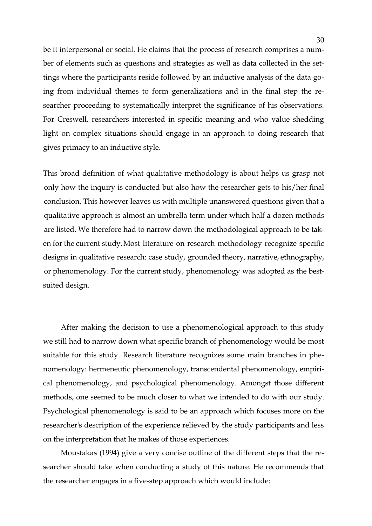be it interpersonal or social. He claims that the process of research comprises a number of elements such as questions and strategies as well as data collected in the settings where the participants reside followed by an inductive analysis of the data going from individual themes to form generalizations and in the final step the researcher proceeding to systematically interpret the significance of his observations. For Creswell, researchers interested in specific meaning and who value shedding light on complex situations should engage in an approach to doing research that gives primacy to an inductive style.

This broad definition of what qualitative methodology is about helps us grasp not only how the inquiry is conducted but also how the researcher gets to his/her final conclusion. This however leaves us with multiple unanswered questions given that a qualitative approach is almost an umbrella term under which half a dozen methods are listed. We therefore had to narrow down the methodological approach to be taken for the current study. Most literature on research methodology recognize specific designs in qualitative research: case study, grounded theory, narrative, ethnography, or phenomenology. For the current study, phenomenology was adopted as the bestsuited design.

After making the decision to use a phenomenological approach to this study we still had to narrow down what specific branch of phenomenology would be most suitable for this study. Research literature recognizes some main branches in phenomenology: hermeneutic phenomenology, transcendental phenomenology, empirical phenomenology, and psychological phenomenology. Amongst those different methods, one seemed to be much closer to what we intended to do with our study. Psychological phenomenology is said to be an approach which focuses more on the researcher's description of the experience relieved by the study participants and less on the interpretation that he makes of those experiences.

Moustakas (1994) give a very concise outline of the different steps that the researcher should take when conducting a study of this nature. He recommends that the researcher engages in a five-step approach which would include: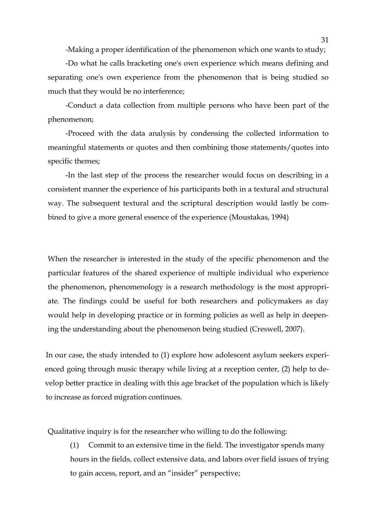-Making a proper identification of the phenomenon which one wants to study;

-Do what he calls bracketing one's own experience which means defining and separating one's own experience from the phenomenon that is being studied so much that they would be no interference;

-Conduct a data collection from multiple persons who have been part of the phenomenon;

-Proceed with the data analysis by condensing the collected information to meaningful statements or quotes and then combining those statements/quotes into specific themes;

-In the last step of the process the researcher would focus on describing in a consistent manner the experience of his participants both in a textural and structural way. The subsequent textural and the scriptural description would lastly be combined to give a more general essence of the experience (Moustakas, 1994)

When the researcher is interested in the study of the specific phenomenon and the particular features of the shared experience of multiple individual who experience the phenomenon, phenomenology is a research methodology is the most appropriate. The findings could be useful for both researchers and policymakers as day would help in developing practice or in forming policies as well as help in deepening the understanding about the phenomenon being studied (Creswell, 2007).

In our case, the study intended to (1) explore how adolescent asylum seekers experienced going through music therapy while living at a reception center, (2) help to develop better practice in dealing with this age bracket of the population which is likely to increase as forced migration continues.

Qualitative inquiry is for the researcher who willing to do the following:

(1) Commit to an extensive time in the field. The investigator spends many hours in the fields, collect extensive data, and labors over field issues of trying to gain access, report, and an "insider" perspective;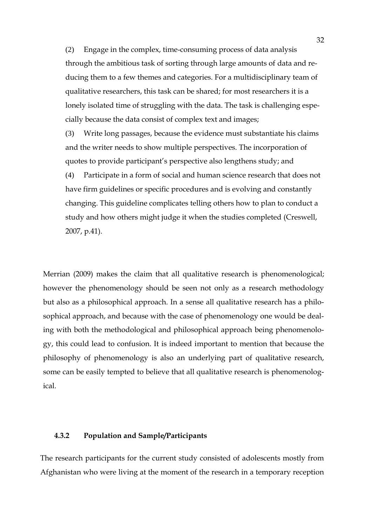(2) Engage in the complex, time-consuming process of data analysis through the ambitious task of sorting through large amounts of data and reducing them to a few themes and categories. For a multidisciplinary team of qualitative researchers, this task can be shared; for most researchers it is a lonely isolated time of struggling with the data. The task is challenging especially because the data consist of complex text and images;

(3) Write long passages, because the evidence must substantiate his claims and the writer needs to show multiple perspectives. The incorporation of quotes to provide participant's perspective also lengthens study; and

(4) Participate in a form of social and human science research that does not have firm guidelines or specific procedures and is evolving and constantly changing. This guideline complicates telling others how to plan to conduct a study and how others might judge it when the studies completed (Creswell, 2007, p.41).

Merrian (2009) makes the claim that all qualitative research is phenomenological; however the phenomenology should be seen not only as a research methodology but also as a philosophical approach. In a sense all qualitative research has a philosophical approach, and because with the case of phenomenology one would be dealing with both the methodological and philosophical approach being phenomenology, this could lead to confusion. It is indeed important to mention that because the philosophy of phenomenology is also an underlying part of qualitative research, some can be easily tempted to believe that all qualitative research is phenomenological.

### **4.3.2 Population and Sample/Participants**

The research participants for the current study consisted of adolescents mostly from Afghanistan who were living at the moment of the research in a temporary reception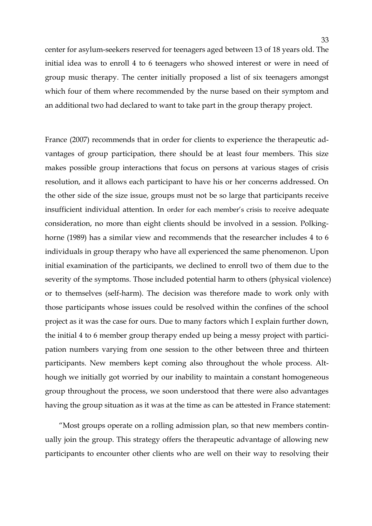center for asylum-seekers reserved for teenagers aged between 13 of 18 years old. The initial idea was to enroll 4 to 6 teenagers who showed interest or were in need of group music therapy. The center initially proposed a list of six teenagers amongst which four of them where recommended by the nurse based on their symptom and an additional two had declared to want to take part in the group therapy project.

France (2007) recommends that in order for clients to experience the therapeutic advantages of group participation, there should be at least four members. This size makes possible group interactions that focus on persons at various stages of crisis resolution, and it allows each participant to have his or her concerns addressed. On the other side of the size issue, groups must not be so large that participants receive insufficient individual attention. In order for each member's crisis to receive adequate consideration, no more than eight clients should be involved in a session. Polkinghorne (1989) has a similar view and recommends that the researcher includes 4 to 6 individuals in group therapy who have all experienced the same phenomenon. Upon initial examination of the participants, we declined to enroll two of them due to the severity of the symptoms. Those included potential harm to others (physical violence) or to themselves (self-harm). The decision was therefore made to work only with those participants whose issues could be resolved within the confines of the school project as it was the case for ours. Due to many factors which I explain further down, the initial 4 to 6 member group therapy ended up being a messy project with participation numbers varying from one session to the other between three and thirteen participants. New members kept coming also throughout the whole process. Although we initially got worried by our inability to maintain a constant homogeneous group throughout the process, we soon understood that there were also advantages having the group situation as it was at the time as can be attested in France statement:

"Most groups operate on a rolling admission plan, so that new members continually join the group. This strategy offers the therapeutic advantage of allowing new participants to encounter other clients who are well on their way to resolving their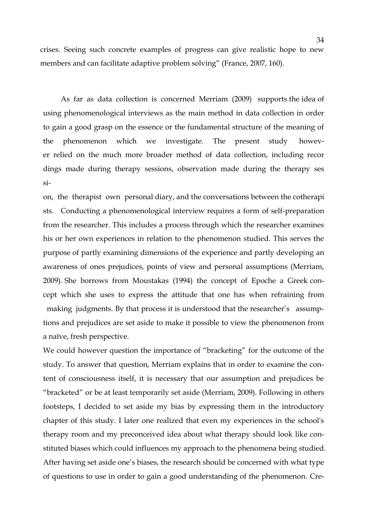crises. Seeing such concrete examples of progress can give realistic hope to new members and can facilitate adaptive problem solving" (France, 2007, 160).

As far as data collection is concerned Merriam (2009) supports the idea of using phenomenological interviews as the main method in data collection in order to gain a good grasp on the essence or the fundamental structure of the meaning of the phenomenon which we investigate. The present study, however relied on the much more broader method of data collection, including recor dings made during therapy sessions, observation made during the therapy ses si-

on, the therapist own personal diary, and the conversations between the cotherapi sts. Conducting a phenomenological interview requires a form of self-preparation from the researcher. This includes a process through which the researcher examines his or her own experiences in relation to the phenomenon studied. This serves the purpose of partly examining dimensions of the experience and partly developing an awareness of ones prejudices, points of view and personal assumptions (Merriam, 2009). She borrows from Moustakas (1994) the concept of Epoche a Greek concept which she uses to express the attitude that one has when refraining from making judgments. By that process it is understood that the researcher's assumptions and prejudices are set aside to make it possible to view the phenomenon from a naïve, fresh perspective.

We could however question the importance of "bracketing" for the outcome of the study. To answer that question, Merriam explains that in order to examine the content of consciousness itself, it is necessary that our assumption and prejudices be "bracketed" or be at least temporarily set aside (Merriam, 2009). Following in others footsteps, I decided to set aside my bias by expressing them in the introductory chapter of this study. I later one realized that even my experiences in the school's therapy room and my preconceived idea about what therapy should look like constituted biases which could influences my approach to the phenomena being studied. After having set aside one's biases, the research should be concerned with what type of questions to use in order to gain a good understanding of the phenomenon. Cre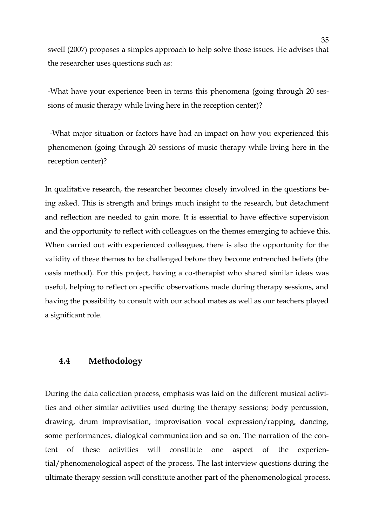swell (2007) proposes a simples approach to help solve those issues. He advises that the researcher uses questions such as:

-What have your experience been in terms this phenomena (going through 20 sessions of music therapy while living here in the reception center)?

-What major situation or factors have had an impact on how you experienced this phenomenon (going through 20 sessions of music therapy while living here in the reception center)?

In qualitative research, the researcher becomes closely involved in the questions being asked. This is strength and brings much insight to the research, but detachment and reflection are needed to gain more. It is essential to have effective supervision and the opportunity to reflect with colleagues on the themes emerging to achieve this. When carried out with experienced colleagues, there is also the opportunity for the validity of these themes to be challenged before they become entrenched beliefs (the oasis method). For this project, having a co-therapist who shared similar ideas was useful, helping to reflect on specific observations made during therapy sessions, and having the possibility to consult with our school mates as well as our teachers played a significant role.

### **4.4 Methodology**

During the data collection process, emphasis was laid on the different musical activities and other similar activities used during the therapy sessions; body percussion, drawing, drum improvisation, improvisation vocal expression/rapping, dancing, some performances, dialogical communication and so on. The narration of the content of these activities will constitute one aspect of the experiential/phenomenological aspect of the process. The last interview questions during the ultimate therapy session will constitute another part of the phenomenological process.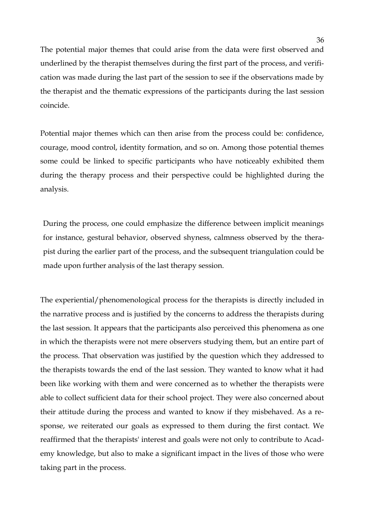The potential major themes that could arise from the data were first observed and underlined by the therapist themselves during the first part of the process, and verification was made during the last part of the session to see if the observations made by the therapist and the thematic expressions of the participants during the last session coincide.

Potential major themes which can then arise from the process could be: confidence, courage, mood control, identity formation, and so on. Among those potential themes some could be linked to specific participants who have noticeably exhibited them during the therapy process and their perspective could be highlighted during the analysis.

During the process, one could emphasize the difference between implicit meanings for instance, gestural behavior, observed shyness, calmness observed by the therapist during the earlier part of the process, and the subsequent triangulation could be made upon further analysis of the last therapy session.

The experiential/phenomenological process for the therapists is directly included in the narrative process and is justified by the concerns to address the therapists during the last session. It appears that the participants also perceived this phenomena as one in which the therapists were not mere observers studying them, but an entire part of the process. That observation was justified by the question which they addressed to the therapists towards the end of the last session. They wanted to know what it had been like working with them and were concerned as to whether the therapists were able to collect sufficient data for their school project. They were also concerned about their attitude during the process and wanted to know if they misbehaved. As a response, we reiterated our goals as expressed to them during the first contact. We reaffirmed that the therapists' interest and goals were not only to contribute to Academy knowledge, but also to make a significant impact in the lives of those who were taking part in the process.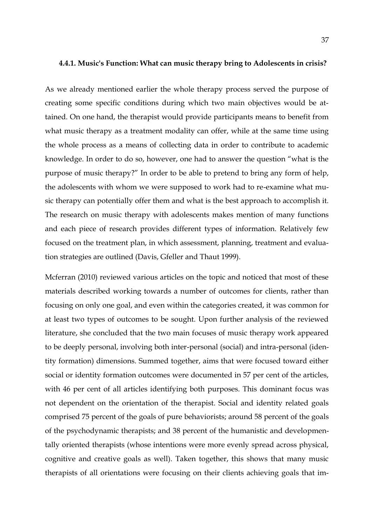#### **4.4.1. Music's Function: What can music therapy bring to Adolescents in crisis?**

As we already mentioned earlier the whole therapy process served the purpose of creating some specific conditions during which two main objectives would be attained. On one hand, the therapist would provide participants means to benefit from what music therapy as a treatment modality can offer, while at the same time using the whole process as a means of collecting data in order to contribute to academic knowledge. In order to do so, however, one had to answer the question "what is the purpose of music therapy?" In order to be able to pretend to bring any form of help, the adolescents with whom we were supposed to work had to re-examine what music therapy can potentially offer them and what is the best approach to accomplish it. The research on music therapy with adolescents makes mention of many functions and each piece of research provides different types of information. Relatively few focused on the treatment plan, in which assessment, planning, treatment and evaluation strategies are outlined (Davis, Gfeller and Thaut 1999).

Mcferran (2010) reviewed various articles on the topic and noticed that most of these materials described working towards a number of outcomes for clients, rather than focusing on only one goal, and even within the categories created, it was common for at least two types of outcomes to be sought. Upon further analysis of the reviewed literature, she concluded that the two main focuses of music therapy work appeared to be deeply personal, involving both inter-personal (social) and intra-personal (identity formation) dimensions. Summed together, aims that were focused toward either social or identity formation outcomes were documented in 57 per cent of the articles, with 46 per cent of all articles identifying both purposes. This dominant focus was not dependent on the orientation of the therapist. Social and identity related goals comprised 75 percent of the goals of pure behaviorists; around 58 percent of the goals of the psychodynamic therapists; and 38 percent of the humanistic and developmentally oriented therapists (whose intentions were more evenly spread across physical, cognitive and creative goals as well). Taken together, this shows that many music therapists of all orientations were focusing on their clients achieving goals that im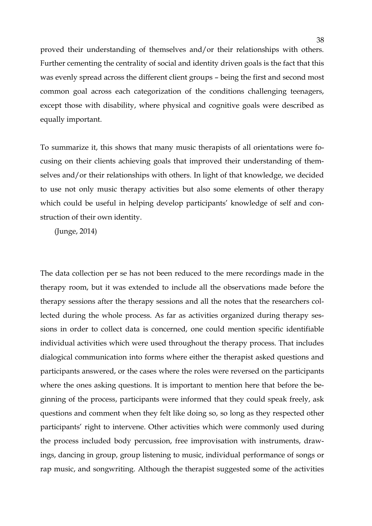proved their understanding of themselves and/or their relationships with others. Further cementing the centrality of social and identity driven goals is the fact that this was evenly spread across the different client groups – being the first and second most common goal across each categorization of the conditions challenging teenagers, except those with disability, where physical and cognitive goals were described as equally important.

To summarize it, this shows that many music therapists of all orientations were focusing on their clients achieving goals that improved their understanding of themselves and/or their relationships with others. In light of that knowledge, we decided to use not only music therapy activities but also some elements of other therapy which could be useful in helping develop participants' knowledge of self and construction of their own identity.

(Junge, 2014)

The data collection per se has not been reduced to the mere recordings made in the therapy room, but it was extended to include all the observations made before the therapy sessions after the therapy sessions and all the notes that the researchers collected during the whole process. As far as activities organized during therapy sessions in order to collect data is concerned, one could mention specific identifiable individual activities which were used throughout the therapy process. That includes dialogical communication into forms where either the therapist asked questions and participants answered, or the cases where the roles were reversed on the participants where the ones asking questions. It is important to mention here that before the beginning of the process, participants were informed that they could speak freely, ask questions and comment when they felt like doing so, so long as they respected other participants' right to intervene. Other activities which were commonly used during the process included body percussion, free improvisation with instruments, drawings, dancing in group, group listening to music, individual performance of songs or rap music, and songwriting. Although the therapist suggested some of the activities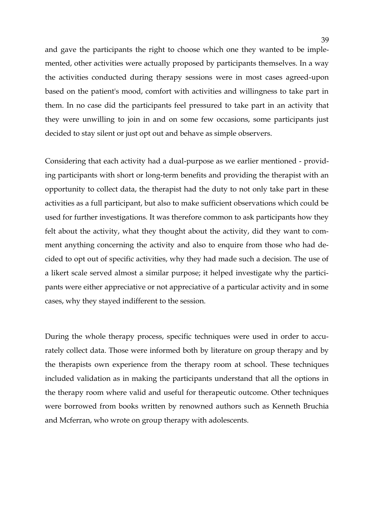and gave the participants the right to choose which one they wanted to be implemented, other activities were actually proposed by participants themselves. In a way the activities conducted during therapy sessions were in most cases agreed-upon based on the patient's mood, comfort with activities and willingness to take part in them. In no case did the participants feel pressured to take part in an activity that they were unwilling to join in and on some few occasions, some participants just decided to stay silent or just opt out and behave as simple observers.

Considering that each activity had a dual-purpose as we earlier mentioned - providing participants with short or long-term benefits and providing the therapist with an opportunity to collect data, the therapist had the duty to not only take part in these activities as a full participant, but also to make sufficient observations which could be used for further investigations. It was therefore common to ask participants how they felt about the activity, what they thought about the activity, did they want to comment anything concerning the activity and also to enquire from those who had decided to opt out of specific activities, why they had made such a decision. The use of a likert scale served almost a similar purpose; it helped investigate why the participants were either appreciative or not appreciative of a particular activity and in some cases, why they stayed indifferent to the session.

During the whole therapy process, specific techniques were used in order to accurately collect data. Those were informed both by literature on group therapy and by the therapists own experience from the therapy room at school. These techniques included validation as in making the participants understand that all the options in the therapy room where valid and useful for therapeutic outcome. Other techniques were borrowed from books written by renowned authors such as Kenneth Bruchia and Mcferran, who wrote on group therapy with adolescents.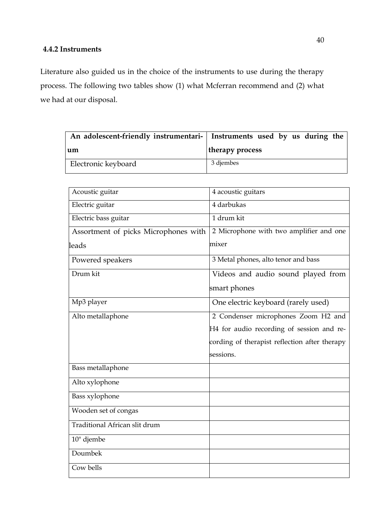### **4.4.2 Instruments**

Literature also guided us in the choice of the instruments to use during the therapy process. The following two tables show (1) what Mcferran recommend and (2) what we had at our disposal.

|                     | An adolescent-friendly instrumentari- Instruments used by us during the |
|---------------------|-------------------------------------------------------------------------|
| um                  | therapy process                                                         |
| Electronic keyboard | 3 djembes                                                               |

| Acoustic guitar                      | 4 acoustic guitars                            |
|--------------------------------------|-----------------------------------------------|
| Electric guitar                      | 4 darbukas                                    |
| Electric bass guitar                 | 1 drum kit                                    |
| Assortment of picks Microphones with | 2 Microphone with two amplifier and one       |
| leads                                | mixer                                         |
| Powered speakers                     | 3 Metal phones, alto tenor and bass           |
| Drum kit                             | Videos and audio sound played from            |
|                                      | smart phones                                  |
| Mp3 player                           | One electric keyboard (rarely used)           |
| Alto metallaphone                    | 2 Condenser microphones Zoom H2 and           |
|                                      | H4 for audio recording of session and re-     |
|                                      | cording of therapist reflection after therapy |
|                                      | sessions.                                     |
| Bass metallaphone                    |                                               |
| Alto xylophone                       |                                               |
| Bass xylophone                       |                                               |
| Wooden set of congas                 |                                               |
| Traditional African slit drum        |                                               |
| 10" djembe                           |                                               |
| Doumbek                              |                                               |
| Cow bells                            |                                               |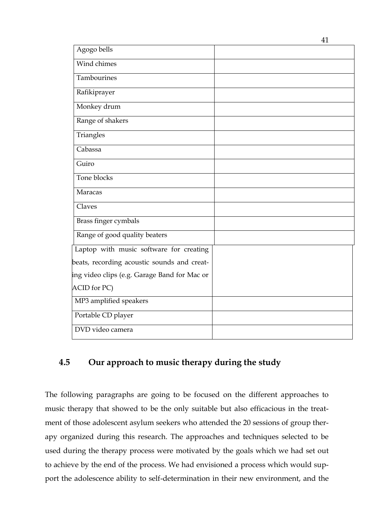| Agogo bells                                  |  |
|----------------------------------------------|--|
| Wind chimes                                  |  |
| Tambourines                                  |  |
| Rafikiprayer                                 |  |
| Monkey drum                                  |  |
| Range of shakers                             |  |
| Triangles                                    |  |
| Cabassa                                      |  |
| Guiro                                        |  |
| Tone blocks                                  |  |
| Maracas                                      |  |
| Claves                                       |  |
| Brass finger cymbals                         |  |
| Range of good quality beaters                |  |
| Laptop with music software for creating      |  |
| beats, recording acoustic sounds and creat-  |  |
| ing video clips (e.g. Garage Band for Mac or |  |
| ACID for PC)                                 |  |
| MP3 amplified speakers                       |  |
| Portable CD player                           |  |
| DVD video camera                             |  |

# **4.5 Our approach to music therapy during the study**

The following paragraphs are going to be focused on the different approaches to music therapy that showed to be the only suitable but also efficacious in the treatment of those adolescent asylum seekers who attended the 20 sessions of group therapy organized during this research. The approaches and techniques selected to be used during the therapy process were motivated by the goals which we had set out to achieve by the end of the process. We had envisioned a process which would support the adolescence ability to self-determination in their new environment, and the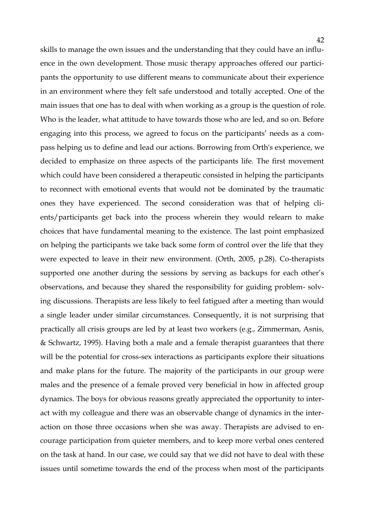skills to manage the own issues and the understanding that they could have an influence in the own development. Those music therapy approaches offered our participants the opportunity to use different means to communicate about their experience in an environment where they felt safe understood and totally accepted. One of the main issues that one has to deal with when working as a group is the question of role. Who is the leader, what attitude to have towards those who are led, and so on. Before engaging into this process, we agreed to focus on the participants' needs as a compass helping us to define and lead our actions. Borrowing from Orth's experience, we decided to emphasize on three aspects of the participants life. The first movement which could have been considered a therapeutic consisted in helping the participants to reconnect with emotional events that would not be dominated by the traumatic ones they have experienced. The second consideration was that of helping clients/participants get back into the process wherein they would relearn to make choices that have fundamental meaning to the existence. The last point emphasized on helping the participants we take back some form of control over the life that they were expected to leave in their new environment. (Orth, 2005, p.28). Co-therapists supported one another during the sessions by serving as backups for each other's observations, and because they shared the responsibility for guiding problem- solving discussions. Therapists are less likely to feel fatigued after a meeting than would a single leader under similar circumstances. Consequently, it is not surprising that practically all crisis groups are led by at least two workers (e.g., Zimmerman, Asnis, & Schwartz, 1995). Having both a male and a female therapist guarantees that there will be the potential for cross-sex interactions as participants explore their situations and make plans for the future. The majority of the participants in our group were males and the presence of a female proved very beneficial in how in affected group dynamics. The boys for obvious reasons greatly appreciated the opportunity to interact with my colleague and there was an observable change of dynamics in the interaction on those three occasions when she was away. Therapists are advised to encourage participation from quieter members, and to keep more verbal ones centered on the task at hand. In our case, we could say that we did not have to deal with these issues until sometime towards the end of the process when most of the participants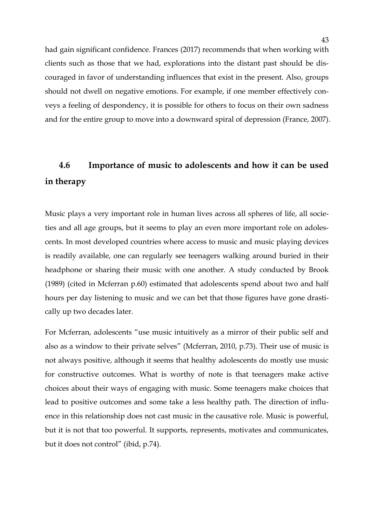had gain significant confidence. Frances (2017) recommends that when working with clients such as those that we had, explorations into the distant past should be discouraged in favor of understanding influences that exist in the present. Also, groups should not dwell on negative emotions. For example, if one member effectively conveys a feeling of despondency, it is possible for others to focus on their own sadness and for the entire group to move into a downward spiral of depression (France, 2007).

# **4.6 Importance of music to adolescents and how it can be used in therapy**

Music plays a very important role in human lives across all spheres of life, all societies and all age groups, but it seems to play an even more important role on adolescents. In most developed countries where access to music and music playing devices is readily available, one can regularly see teenagers walking around buried in their headphone or sharing their music with one another. A study conducted by Brook (1989) (cited in Mcferran p.60) estimated that adolescents spend about two and half hours per day listening to music and we can bet that those figures have gone drastically up two decades later.

For Mcferran, adolescents "use music intuitively as a mirror of their public self and also as a window to their private selves" (Mcferran, 2010, p.73). Their use of music is not always positive, although it seems that healthy adolescents do mostly use music for constructive outcomes. What is worthy of note is that teenagers make active choices about their ways of engaging with music. Some teenagers make choices that lead to positive outcomes and some take a less healthy path. The direction of influence in this relationship does not cast music in the causative role. Music is powerful, but it is not that too powerful. It supports, represents, motivates and communicates, but it does not control" (ibid, p.74).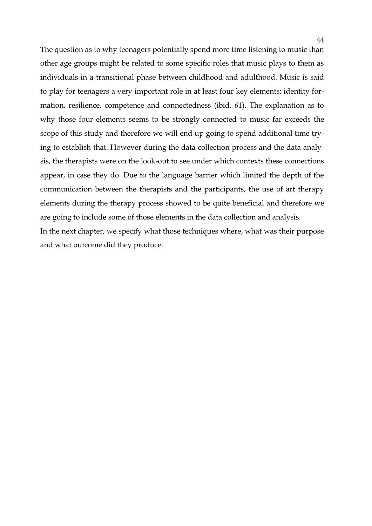The question as to why teenagers potentially spend more time listening to music than other age groups might be related to some specific roles that music plays to them as individuals in a transitional phase between childhood and adulthood. Music is said to play for teenagers a very important role in at least four key elements: identity formation, resilience, competence and connectedness (ibid, 61). The explanation as to why those four elements seems to be strongly connected to music far exceeds the scope of this study and therefore we will end up going to spend additional time trying to establish that. However during the data collection process and the data analysis, the therapists were on the look-out to see under which contexts these connections appear, in case they do. Due to the language barrier which limited the depth of the communication between the therapists and the participants, the use of art therapy elements during the therapy process showed to be quite beneficial and therefore we are going to include some of those elements in the data collection and analysis. In the next chapter, we specify what those techniques where, what was their purpose and what outcome did they produce.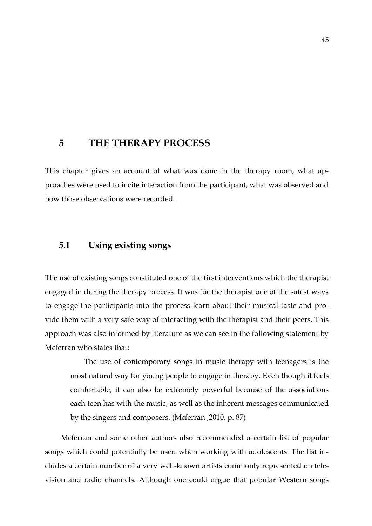# **5 THE THERAPY PROCESS**

This chapter gives an account of what was done in the therapy room, what approaches were used to incite interaction from the participant, what was observed and how those observations were recorded.

### **5.1 Using existing songs**

The use of existing songs constituted one of the first interventions which the therapist engaged in during the therapy process. It was for the therapist one of the safest ways to engage the participants into the process learn about their musical taste and provide them with a very safe way of interacting with the therapist and their peers. This approach was also informed by literature as we can see in the following statement by Mcferran who states that:

The use of contemporary songs in music therapy with teenagers is the most natural way for young people to engage in therapy. Even though it feels comfortable, it can also be extremely powerful because of the associations each teen has with the music, as well as the inherent messages communicated by the singers and composers. (Mcferran ,2010, p. 87)

Mcferran and some other authors also recommended a certain list of popular songs which could potentially be used when working with adolescents. The list includes a certain number of a very well-known artists commonly represented on television and radio channels. Although one could argue that popular Western songs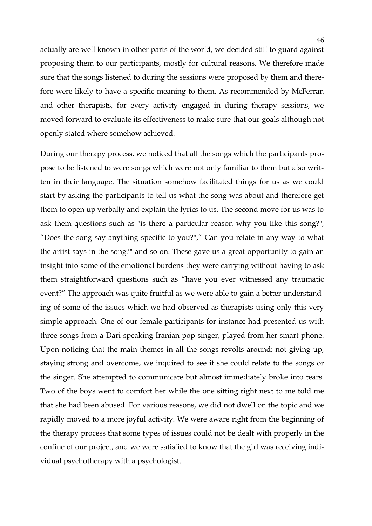actually are well known in other parts of the world, we decided still to guard against proposing them to our participants, mostly for cultural reasons. We therefore made sure that the songs listened to during the sessions were proposed by them and therefore were likely to have a specific meaning to them. As recommended by McFerran and other therapists, for every activity engaged in during therapy sessions, we moved forward to evaluate its effectiveness to make sure that our goals although not openly stated where somehow achieved.

During our therapy process, we noticed that all the songs which the participants propose to be listened to were songs which were not only familiar to them but also written in their language. The situation somehow facilitated things for us as we could start by asking the participants to tell us what the song was about and therefore get them to open up verbally and explain the lyrics to us. The second move for us was to ask them questions such as "is there a particular reason why you like this song?", "Does the song say anything specific to you?"," Can you relate in any way to what the artist says in the song?" and so on. These gave us a great opportunity to gain an insight into some of the emotional burdens they were carrying without having to ask them straightforward questions such as "have you ever witnessed any traumatic event?" The approach was quite fruitful as we were able to gain a better understanding of some of the issues which we had observed as therapists using only this very simple approach. One of our female participants for instance had presented us with three songs from a Dari-speaking Iranian pop singer, played from her smart phone. Upon noticing that the main themes in all the songs revolts around: not giving up, staying strong and overcome, we inquired to see if she could relate to the songs or the singer. She attempted to communicate but almost immediately broke into tears. Two of the boys went to comfort her while the one sitting right next to me told me that she had been abused. For various reasons, we did not dwell on the topic and we rapidly moved to a more joyful activity. We were aware right from the beginning of the therapy process that some types of issues could not be dealt with properly in the confine of our project, and we were satisfied to know that the girl was receiving individual psychotherapy with a psychologist.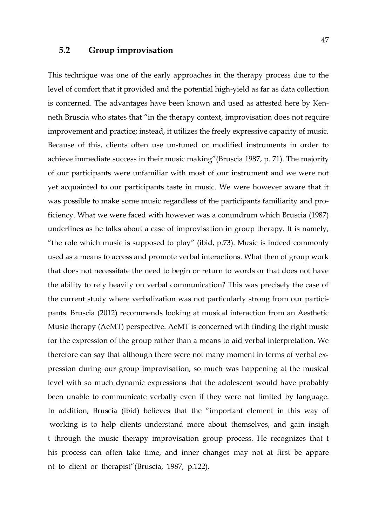### **5.2 Group improvisation**

This technique was one of the early approaches in the therapy process due to the level of comfort that it provided and the potential high-yield as far as data collection is concerned. The advantages have been known and used as attested here by Kenneth Bruscia who states that "in the therapy context, improvisation does not require improvement and practice; instead, it utilizes the freely expressive capacity of music. Because of this, clients often use un-tuned or modified instruments in order to achieve immediate success in their music making"(Bruscia 1987, p. 71). The majority of our participants were unfamiliar with most of our instrument and we were not yet acquainted to our participants taste in music. We were however aware that it was possible to make some music regardless of the participants familiarity and proficiency. What we were faced with however was a conundrum which Bruscia (1987) underlines as he talks about a case of improvisation in group therapy. It is namely, "the role which music is supposed to play" (ibid, p.73). Music is indeed commonly used as a means to access and promote verbal interactions. What then of group work that does not necessitate the need to begin or return to words or that does not have the ability to rely heavily on verbal communication? This was precisely the case of the current study where verbalization was not particularly strong from our participants. Bruscia (2012) recommends looking at musical interaction from an Aesthetic Music therapy (AeMT) perspective. AeMT is concerned with finding the right music for the expression of the group rather than a means to aid verbal interpretation. We therefore can say that although there were not many moment in terms of verbal expression during our group improvisation, so much was happening at the musical level with so much dynamic expressions that the adolescent would have probably been unable to communicate verbally even if they were not limited by language. In addition, Bruscia (ibid) believes that the "important element in this way of working is to help clients understand more about themselves, and gain insigh t through the music therapy improvisation group process. He recognizes that t his process can often take time, and inner changes may not at first be appare nt to client or therapist"(Bruscia, 1987, p.122).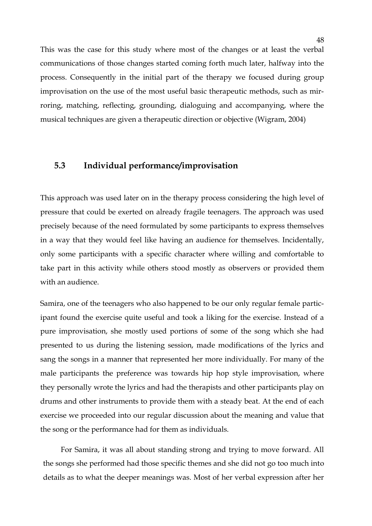This was the case for this study where most of the changes or at least the verbal communications of those changes started coming forth much later, halfway into the process. Consequently in the initial part of the therapy we focused during group improvisation on the use of the most useful basic therapeutic methods, such as mirroring, matching, reflecting, grounding, dialoguing and accompanying, where the musical techniques are given a therapeutic direction or objective (Wigram, 2004)

# **5.3 Individual performance/improvisation**

This approach was used later on in the therapy process considering the high level of pressure that could be exerted on already fragile teenagers. The approach was used precisely because of the need formulated by some participants to express themselves in a way that they would feel like having an audience for themselves. Incidentally, only some participants with a specific character where willing and comfortable to take part in this activity while others stood mostly as observers or provided them with an audience.

Samira, one of the teenagers who also happened to be our only regular female participant found the exercise quite useful and took a liking for the exercise. Instead of a pure improvisation, she mostly used portions of some of the song which she had presented to us during the listening session, made modifications of the lyrics and sang the songs in a manner that represented her more individually. For many of the male participants the preference was towards hip hop style improvisation, where they personally wrote the lyrics and had the therapists and other participants play on drums and other instruments to provide them with a steady beat. At the end of each exercise we proceeded into our regular discussion about the meaning and value that the song or the performance had for them as individuals.

For Samira, it was all about standing strong and trying to move forward. All the songs she performed had those specific themes and she did not go too much into details as to what the deeper meanings was. Most of her verbal expression after her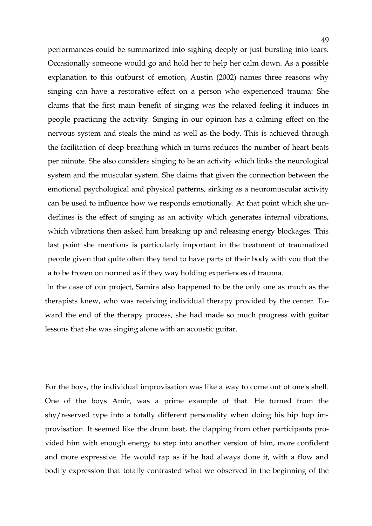performances could be summarized into sighing deeply or just bursting into tears. Occasionally someone would go and hold her to help her calm down. As a possible explanation to this outburst of emotion, Austin (2002) names three reasons why singing can have a restorative effect on a person who experienced trauma: She claims that the first main benefit of singing was the relaxed feeling it induces in people practicing the activity. Singing in our opinion has a calming effect on the nervous system and steals the mind as well as the body. This is achieved through the facilitation of deep breathing which in turns reduces the number of heart beats per minute. She also considers singing to be an activity which links the neurological system and the muscular system. She claims that given the connection between the emotional psychological and physical patterns, sinking as a neuromuscular activity can be used to influence how we responds emotionally. At that point which she underlines is the effect of singing as an activity which generates internal vibrations, which vibrations then asked him breaking up and releasing energy blockages. This last point she mentions is particularly important in the treatment of traumatized people given that quite often they tend to have parts of their body with you that the a to be frozen on normed as if they way holding experiences of trauma.

In the case of our project, Samira also happened to be the only one as much as the therapists knew, who was receiving individual therapy provided by the center. Toward the end of the therapy process, she had made so much progress with guitar lessons that she was singing alone with an acoustic guitar.

For the boys, the individual improvisation was like a way to come out of one's shell. One of the boys Amir, was a prime example of that. He turned from the shy/reserved type into a totally different personality when doing his hip hop improvisation. It seemed like the drum beat, the clapping from other participants provided him with enough energy to step into another version of him, more confident and more expressive. He would rap as if he had always done it, with a flow and bodily expression that totally contrasted what we observed in the beginning of the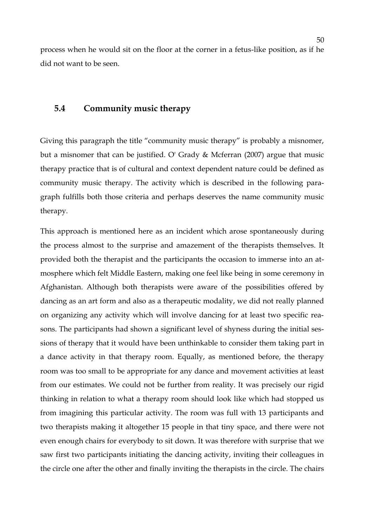process when he would sit on the floor at the corner in a fetus-like position, as if he did not want to be seen.

# **5.4 Community music therapy**

Giving this paragraph the title "community music therapy" is probably a misnomer, but a misnomer that can be justified. O' Grady & Mcferran (2007) argue that music therapy practice that is of cultural and context dependent nature could be defined as community music therapy. The activity which is described in the following paragraph fulfills both those criteria and perhaps deserves the name community music therapy.

This approach is mentioned here as an incident which arose spontaneously during the process almost to the surprise and amazement of the therapists themselves. It provided both the therapist and the participants the occasion to immerse into an atmosphere which felt Middle Eastern, making one feel like being in some ceremony in Afghanistan. Although both therapists were aware of the possibilities offered by dancing as an art form and also as a therapeutic modality, we did not really planned on organizing any activity which will involve dancing for at least two specific reasons. The participants had shown a significant level of shyness during the initial sessions of therapy that it would have been unthinkable to consider them taking part in a dance activity in that therapy room. Equally, as mentioned before, the therapy room was too small to be appropriate for any dance and movement activities at least from our estimates. We could not be further from reality. It was precisely our rigid thinking in relation to what a therapy room should look like which had stopped us from imagining this particular activity. The room was full with 13 participants and two therapists making it altogether 15 people in that tiny space, and there were not even enough chairs for everybody to sit down. It was therefore with surprise that we saw first two participants initiating the dancing activity, inviting their colleagues in the circle one after the other and finally inviting the therapists in the circle. The chairs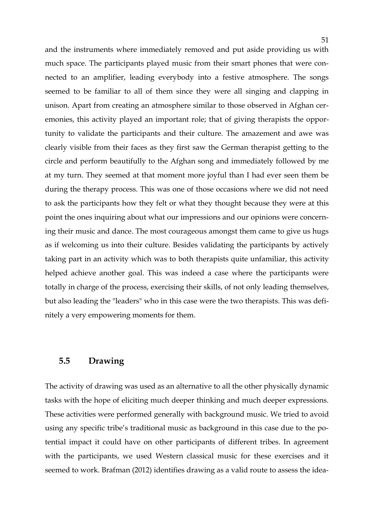and the instruments where immediately removed and put aside providing us with much space. The participants played music from their smart phones that were connected to an amplifier, leading everybody into a festive atmosphere. The songs seemed to be familiar to all of them since they were all singing and clapping in unison. Apart from creating an atmosphere similar to those observed in Afghan ceremonies, this activity played an important role; that of giving therapists the opportunity to validate the participants and their culture. The amazement and awe was clearly visible from their faces as they first saw the German therapist getting to the circle and perform beautifully to the Afghan song and immediately followed by me at my turn. They seemed at that moment more joyful than I had ever seen them be during the therapy process. This was one of those occasions where we did not need to ask the participants how they felt or what they thought because they were at this point the ones inquiring about what our impressions and our opinions were concerning their music and dance. The most courageous amongst them came to give us hugs as if welcoming us into their culture. Besides validating the participants by actively taking part in an activity which was to both therapists quite unfamiliar, this activity helped achieve another goal. This was indeed a case where the participants were totally in charge of the process, exercising their skills, of not only leading themselves, but also leading the "leaders" who in this case were the two therapists. This was definitely a very empowering moments for them.

### **5.5 Drawing**

The activity of drawing was used as an alternative to all the other physically dynamic tasks with the hope of eliciting much deeper thinking and much deeper expressions. These activities were performed generally with background music. We tried to avoid using any specific tribe's traditional music as background in this case due to the potential impact it could have on other participants of different tribes. In agreement with the participants, we used Western classical music for these exercises and it seemed to work. Brafman (2012) identifies drawing as a valid route to assess the idea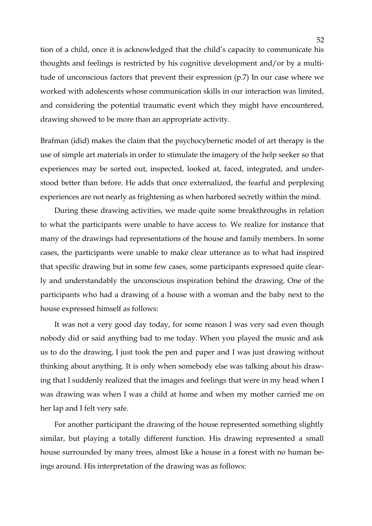tion of a child, once it is acknowledged that the child's capacity to communicate his thoughts and feelings is restricted by his cognitive development and/or by a multitude of unconscious factors that prevent their expression (p.7) In our case where we worked with adolescents whose communication skills in our interaction was limited, and considering the potential traumatic event which they might have encountered, drawing showed to be more than an appropriate activity.

Brafman (idid) makes the claim that the psychocybernetic model of art therapy is the use of simple art materials in order to stimulate the imagery of the help seeker so that experiences may be sorted out, inspected, looked at, faced, integrated, and understood better than before. He adds that once externalized, the fearful and perplexing experiences are not nearly as frightening as when harbored secretly within the mind.

During these drawing activities, we made quite some breakthroughs in relation to what the participants were unable to have access to. We realize for instance that many of the drawings had representations of the house and family members. In some cases, the participants were unable to make clear utterance as to what had inspired that specific drawing but in some few cases, some participants expressed quite clearly and understandably the unconscious inspiration behind the drawing. One of the participants who had a drawing of a house with a woman and the baby next to the house expressed himself as follows:

It was not a very good day today, for some reason I was very sad even though nobody did or said anything bad to me today. When you played the music and ask us to do the drawing, I just took the pen and paper and I was just drawing without thinking about anything. It is only when somebody else was talking about his drawing that I suddenly realized that the images and feelings that were in my head when I was drawing was when I was a child at home and when my mother carried me on her lap and I felt very safe.

For another participant the drawing of the house represented something slightly similar, but playing a totally different function. His drawing represented a small house surrounded by many trees, almost like a house in a forest with no human beings around. His interpretation of the drawing was as follows: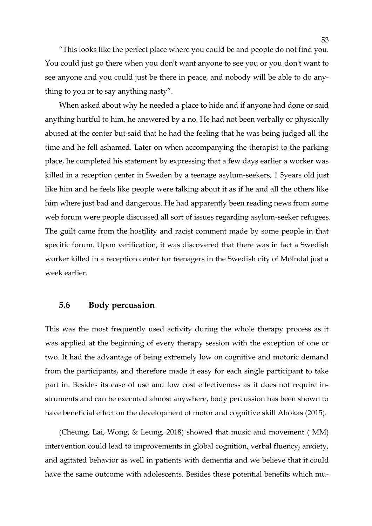53

"This looks like the perfect place where you could be and people do not find you. You could just go there when you don't want anyone to see you or you don't want to see anyone and you could just be there in peace, and nobody will be able to do anything to you or to say anything nasty".

When asked about why he needed a place to hide and if anyone had done or said anything hurtful to him, he answered by a no. He had not been verbally or physically abused at the center but said that he had the feeling that he was being judged all the time and he fell ashamed. Later on when accompanying the therapist to the parking place, he completed his statement by expressing that a few days earlier a worker was killed in a reception center in Sweden by a teenage asylum-seekers, 1 5years old just like him and he feels like people were talking about it as if he and all the others like him where just bad and dangerous. He had apparently been reading news from some web forum were people discussed all sort of issues regarding asylum-seeker refugees. The guilt came from the hostility and racist comment made by some people in that specific forum. Upon verification, it was discovered that there was in fact a Swedish worker killed in a reception center for teenagers in the Swedish city of Mölndal just a week earlier.

# **5.6 Body percussion**

This was the most frequently used activity during the whole therapy process as it was applied at the beginning of every therapy session with the exception of one or two. It had the advantage of being extremely low on cognitive and motoric demand from the participants, and therefore made it easy for each single participant to take part in. Besides its ease of use and low cost effectiveness as it does not require instruments and can be executed almost anywhere, body percussion has been shown to have beneficial effect on the development of motor and cognitive skill Ahokas (2015).

(Cheung, Lai, Wong, & Leung, 2018) showed that music and movement ( MM) intervention could lead to improvements in global cognition, verbal fluency, anxiety, and agitated behavior as well in patients with dementia and we believe that it could have the same outcome with adolescents. Besides these potential benefits which mu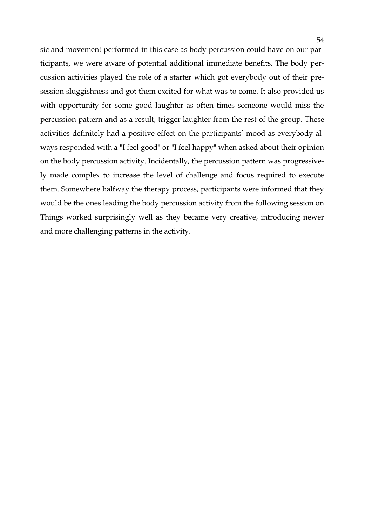sic and movement performed in this case as body percussion could have on our participants, we were aware of potential additional immediate benefits. The body percussion activities played the role of a starter which got everybody out of their presession sluggishness and got them excited for what was to come. It also provided us with opportunity for some good laughter as often times someone would miss the percussion pattern and as a result, trigger laughter from the rest of the group. These activities definitely had a positive effect on the participants' mood as everybody always responded with a "I feel good" or "I feel happy" when asked about their opinion on the body percussion activity. Incidentally, the percussion pattern was progressively made complex to increase the level of challenge and focus required to execute them. Somewhere halfway the therapy process, participants were informed that they would be the ones leading the body percussion activity from the following session on. Things worked surprisingly well as they became very creative, introducing newer and more challenging patterns in the activity.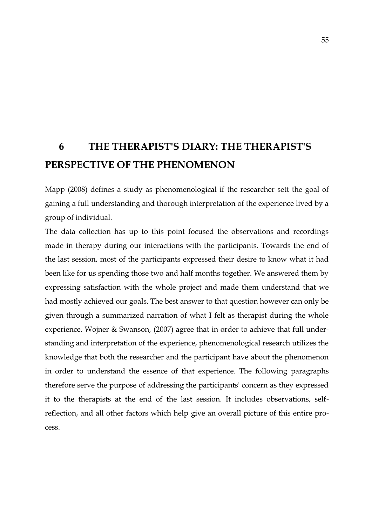# **6 THE THERAPIST'S DIARY: THE THERAPIST'S PERSPECTIVE OF THE PHENOMENON**

Mapp (2008) defines a study as phenomenological if the researcher sett the goal of gaining a full understanding and thorough interpretation of the experience lived by a group of individual.

The data collection has up to this point focused the observations and recordings made in therapy during our interactions with the participants. Towards the end of the last session, most of the participants expressed their desire to know what it had been like for us spending those two and half months together. We answered them by expressing satisfaction with the whole project and made them understand that we had mostly achieved our goals. The best answer to that question however can only be given through a summarized narration of what I felt as therapist during the whole experience. Wojner & Swanson, (2007) agree that in order to achieve that full understanding and interpretation of the experience, phenomenological research utilizes the knowledge that both the researcher and the participant have about the phenomenon in order to understand the essence of that experience. The following paragraphs therefore serve the purpose of addressing the participants' concern as they expressed it to the therapists at the end of the last session. It includes observations, selfreflection, and all other factors which help give an overall picture of this entire process.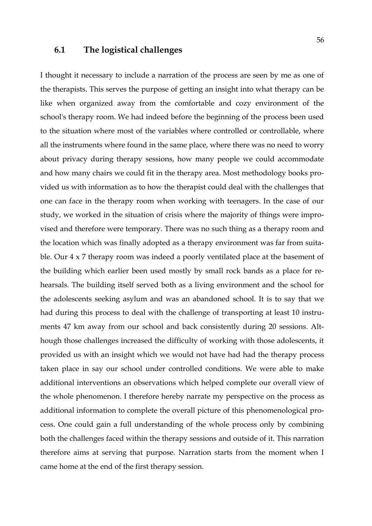### **6.1 The logistical challenges**

I thought it necessary to include a narration of the process are seen by me as one of the therapists. This serves the purpose of getting an insight into what therapy can be like when organized away from the comfortable and cozy environment of the school's therapy room. We had indeed before the beginning of the process been used to the situation where most of the variables where controlled or controllable, where all the instruments where found in the same place, where there was no need to worry about privacy during therapy sessions, how many people we could accommodate and how many chairs we could fit in the therapy area. Most methodology books provided us with information as to how the therapist could deal with the challenges that one can face in the therapy room when working with teenagers. In the case of our study, we worked in the situation of crisis where the majority of things were improvised and therefore were temporary. There was no such thing as a therapy room and the location which was finally adopted as a therapy environment was far from suitable. Our 4 x 7 therapy room was indeed a poorly ventilated place at the basement of the building which earlier been used mostly by small rock bands as a place for rehearsals. The building itself served both as a living environment and the school for the adolescents seeking asylum and was an abandoned school. It is to say that we had during this process to deal with the challenge of transporting at least 10 instruments 47 km away from our school and back consistently during 20 sessions. Although those challenges increased the difficulty of working with those adolescents, it provided us with an insight which we would not have had had the therapy process taken place in say our school under controlled conditions. We were able to make additional interventions an observations which helped complete our overall view of the whole phenomenon. I therefore hereby narrate my perspective on the process as additional information to complete the overall picture of this phenomenological process. One could gain a full understanding of the whole process only by combining both the challenges faced within the therapy sessions and outside of it. This narration therefore aims at serving that purpose. Narration starts from the moment when I came home at the end of the first therapy session.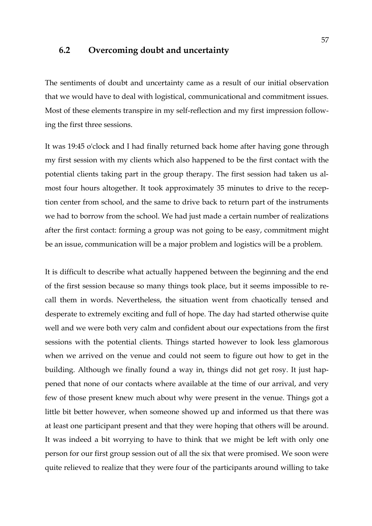### **6.2 Overcoming doubt and uncertainty**

The sentiments of doubt and uncertainty came as a result of our initial observation that we would have to deal with logistical, communicational and commitment issues. Most of these elements transpire in my self-reflection and my first impression following the first three sessions.

It was 19:45 o'clock and I had finally returned back home after having gone through my first session with my clients which also happened to be the first contact with the potential clients taking part in the group therapy. The first session had taken us almost four hours altogether. It took approximately 35 minutes to drive to the reception center from school, and the same to drive back to return part of the instruments we had to borrow from the school. We had just made a certain number of realizations after the first contact: forming a group was not going to be easy, commitment might be an issue, communication will be a major problem and logistics will be a problem.

It is difficult to describe what actually happened between the beginning and the end of the first session because so many things took place, but it seems impossible to recall them in words. Nevertheless, the situation went from chaotically tensed and desperate to extremely exciting and full of hope. The day had started otherwise quite well and we were both very calm and confident about our expectations from the first sessions with the potential clients. Things started however to look less glamorous when we arrived on the venue and could not seem to figure out how to get in the building. Although we finally found a way in, things did not get rosy. It just happened that none of our contacts where available at the time of our arrival, and very few of those present knew much about why were present in the venue. Things got a little bit better however, when someone showed up and informed us that there was at least one participant present and that they were hoping that others will be around. It was indeed a bit worrying to have to think that we might be left with only one person for our first group session out of all the six that were promised. We soon were quite relieved to realize that they were four of the participants around willing to take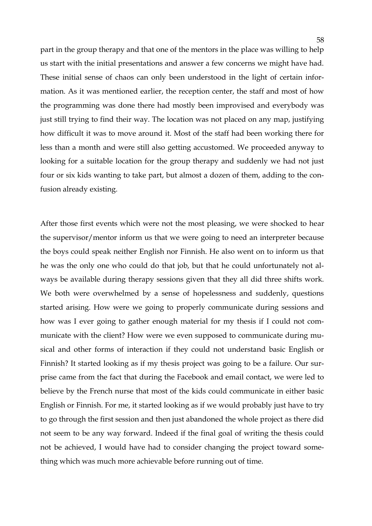part in the group therapy and that one of the mentors in the place was willing to help us start with the initial presentations and answer a few concerns we might have had. These initial sense of chaos can only been understood in the light of certain information. As it was mentioned earlier, the reception center, the staff and most of how the programming was done there had mostly been improvised and everybody was just still trying to find their way. The location was not placed on any map, justifying how difficult it was to move around it. Most of the staff had been working there for less than a month and were still also getting accustomed. We proceeded anyway to looking for a suitable location for the group therapy and suddenly we had not just four or six kids wanting to take part, but almost a dozen of them, adding to the confusion already existing.

After those first events which were not the most pleasing, we were shocked to hear the supervisor/mentor inform us that we were going to need an interpreter because the boys could speak neither English nor Finnish. He also went on to inform us that he was the only one who could do that job, but that he could unfortunately not always be available during therapy sessions given that they all did three shifts work. We both were overwhelmed by a sense of hopelessness and suddenly, questions started arising. How were we going to properly communicate during sessions and how was I ever going to gather enough material for my thesis if I could not communicate with the client? How were we even supposed to communicate during musical and other forms of interaction if they could not understand basic English or Finnish? It started looking as if my thesis project was going to be a failure. Our surprise came from the fact that during the Facebook and email contact, we were led to believe by the French nurse that most of the kids could communicate in either basic English or Finnish. For me, it started looking as if we would probably just have to try to go through the first session and then just abandoned the whole project as there did not seem to be any way forward. Indeed if the final goal of writing the thesis could not be achieved, I would have had to consider changing the project toward something which was much more achievable before running out of time.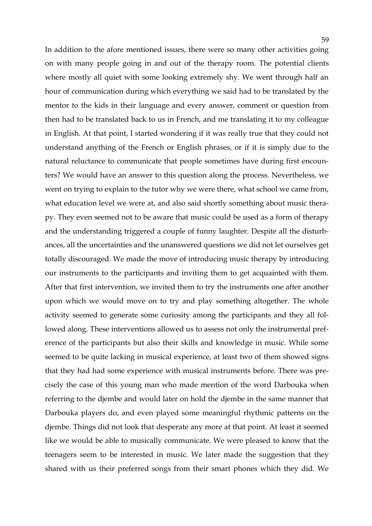In addition to the afore mentioned issues, there were so many other activities going on with many people going in and out of the therapy room. The potential clients where mostly all quiet with some looking extremely shy. We went through half an hour of communication during which everything we said had to be translated by the mentor to the kids in their language and every answer, comment or question from then had to be translated back to us in French, and me translating it to my colleague in English. At that point, I started wondering if it was really true that they could not understand anything of the French or English phrases, or if it is simply due to the natural reluctance to communicate that people sometimes have during first encounters? We would have an answer to this question along the process. Nevertheless, we went on trying to explain to the tutor why we were there, what school we came from, what education level we were at, and also said shortly something about music therapy. They even seemed not to be aware that music could be used as a form of therapy and the understanding triggered a couple of funny laughter. Despite all the disturbances, all the uncertainties and the unanswered questions we did not let ourselves get totally discouraged. We made the move of introducing music therapy by introducing our instruments to the participants and inviting them to get acquainted with them. After that first intervention, we invited them to try the instruments one after another upon which we would move on to try and play something altogether. The whole activity seemed to generate some curiosity among the participants and they all followed along. These interventions allowed us to assess not only the instrumental preference of the participants but also their skills and knowledge in music. While some seemed to be quite lacking in musical experience, at least two of them showed signs that they had had some experience with musical instruments before. There was precisely the case of this young man who made mention of the word Darbouka when referring to the djembe and would later on hold the djembe in the same manner that Darbouka players do, and even played some meaningful rhythmic patterns on the djembe. Things did not look that desperate any more at that point. At least it seemed like we would be able to musically communicate. We were pleased to know that the teenagers seem to be interested in music. We later made the suggestion that they shared with us their preferred songs from their smart phones which they did. We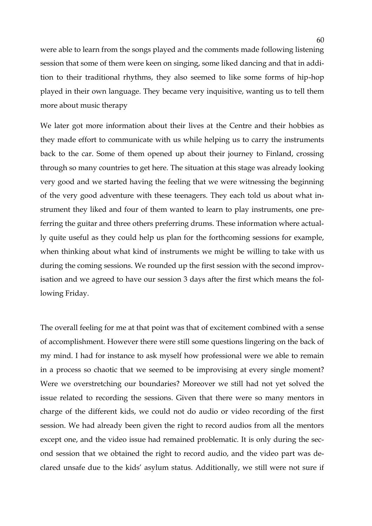were able to learn from the songs played and the comments made following listening session that some of them were keen on singing, some liked dancing and that in addition to their traditional rhythms, they also seemed to like some forms of hip-hop played in their own language. They became very inquisitive, wanting us to tell them more about music therapy

We later got more information about their lives at the Centre and their hobbies as they made effort to communicate with us while helping us to carry the instruments back to the car. Some of them opened up about their journey to Finland, crossing through so many countries to get here. The situation at this stage was already looking very good and we started having the feeling that we were witnessing the beginning of the very good adventure with these teenagers. They each told us about what instrument they liked and four of them wanted to learn to play instruments, one preferring the guitar and three others preferring drums. These information where actually quite useful as they could help us plan for the forthcoming sessions for example, when thinking about what kind of instruments we might be willing to take with us during the coming sessions. We rounded up the first session with the second improvisation and we agreed to have our session 3 days after the first which means the following Friday.

The overall feeling for me at that point was that of excitement combined with a sense of accomplishment. However there were still some questions lingering on the back of my mind. I had for instance to ask myself how professional were we able to remain in a process so chaotic that we seemed to be improvising at every single moment? Were we overstretching our boundaries? Moreover we still had not yet solved the issue related to recording the sessions. Given that there were so many mentors in charge of the different kids, we could not do audio or video recording of the first session. We had already been given the right to record audios from all the mentors except one, and the video issue had remained problematic. It is only during the second session that we obtained the right to record audio, and the video part was declared unsafe due to the kids' asylum status. Additionally, we still were not sure if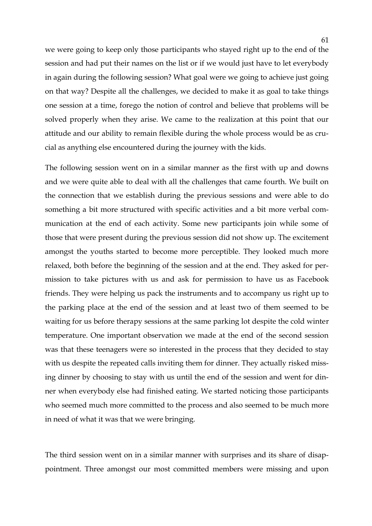we were going to keep only those participants who stayed right up to the end of the session and had put their names on the list or if we would just have to let everybody in again during the following session? What goal were we going to achieve just going on that way? Despite all the challenges, we decided to make it as goal to take things one session at a time, forego the notion of control and believe that problems will be solved properly when they arise. We came to the realization at this point that our attitude and our ability to remain flexible during the whole process would be as crucial as anything else encountered during the journey with the kids.

The following session went on in a similar manner as the first with up and downs and we were quite able to deal with all the challenges that came fourth. We built on the connection that we establish during the previous sessions and were able to do something a bit more structured with specific activities and a bit more verbal communication at the end of each activity. Some new participants join while some of those that were present during the previous session did not show up. The excitement amongst the youths started to become more perceptible. They looked much more relaxed, both before the beginning of the session and at the end. They asked for permission to take pictures with us and ask for permission to have us as Facebook friends. They were helping us pack the instruments and to accompany us right up to the parking place at the end of the session and at least two of them seemed to be waiting for us before therapy sessions at the same parking lot despite the cold winter temperature. One important observation we made at the end of the second session was that these teenagers were so interested in the process that they decided to stay with us despite the repeated calls inviting them for dinner. They actually risked missing dinner by choosing to stay with us until the end of the session and went for dinner when everybody else had finished eating. We started noticing those participants who seemed much more committed to the process and also seemed to be much more in need of what it was that we were bringing.

The third session went on in a similar manner with surprises and its share of disappointment. Three amongst our most committed members were missing and upon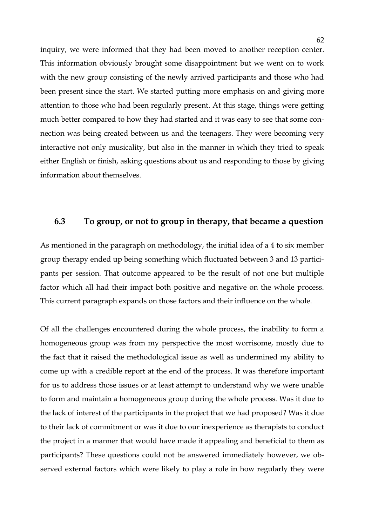inquiry, we were informed that they had been moved to another reception center. This information obviously brought some disappointment but we went on to work with the new group consisting of the newly arrived participants and those who had been present since the start. We started putting more emphasis on and giving more attention to those who had been regularly present. At this stage, things were getting much better compared to how they had started and it was easy to see that some connection was being created between us and the teenagers. They were becoming very interactive not only musicality, but also in the manner in which they tried to speak either English or finish, asking questions about us and responding to those by giving information about themselves.

### **6.3 To group, or not to group in therapy, that became a question**

As mentioned in the paragraph on methodology, the initial idea of a 4 to six member group therapy ended up being something which fluctuated between 3 and 13 participants per session. That outcome appeared to be the result of not one but multiple factor which all had their impact both positive and negative on the whole process. This current paragraph expands on those factors and their influence on the whole.

Of all the challenges encountered during the whole process, the inability to form a homogeneous group was from my perspective the most worrisome, mostly due to the fact that it raised the methodological issue as well as undermined my ability to come up with a credible report at the end of the process. It was therefore important for us to address those issues or at least attempt to understand why we were unable to form and maintain a homogeneous group during the whole process. Was it due to the lack of interest of the participants in the project that we had proposed? Was it due to their lack of commitment or was it due to our inexperience as therapists to conduct the project in a manner that would have made it appealing and beneficial to them as participants? These questions could not be answered immediately however, we observed external factors which were likely to play a role in how regularly they were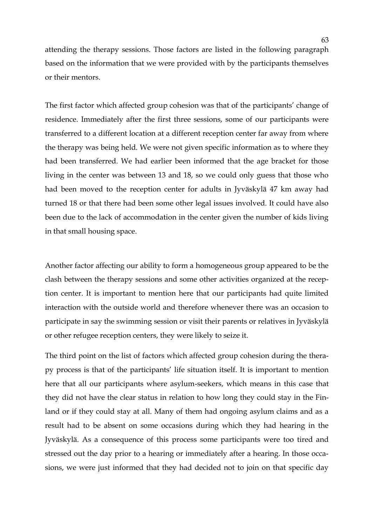attending the therapy sessions. Those factors are listed in the following paragraph based on the information that we were provided with by the participants themselves or their mentors.

The first factor which affected group cohesion was that of the participants' change of residence. Immediately after the first three sessions, some of our participants were transferred to a different location at a different reception center far away from where the therapy was being held. We were not given specific information as to where they had been transferred. We had earlier been informed that the age bracket for those living in the center was between 13 and 18, so we could only guess that those who had been moved to the reception center for adults in Jyväskylä 47 km away had turned 18 or that there had been some other legal issues involved. It could have also been due to the lack of accommodation in the center given the number of kids living in that small housing space.

Another factor affecting our ability to form a homogeneous group appeared to be the clash between the therapy sessions and some other activities organized at the reception center. It is important to mention here that our participants had quite limited interaction with the outside world and therefore whenever there was an occasion to participate in say the swimming session or visit their parents or relatives in Jyväskylä or other refugee reception centers, they were likely to seize it.

The third point on the list of factors which affected group cohesion during the therapy process is that of the participants' life situation itself. It is important to mention here that all our participants where asylum-seekers, which means in this case that they did not have the clear status in relation to how long they could stay in the Finland or if they could stay at all. Many of them had ongoing asylum claims and as a result had to be absent on some occasions during which they had hearing in the Jyväskylä. As a consequence of this process some participants were too tired and stressed out the day prior to a hearing or immediately after a hearing. In those occasions, we were just informed that they had decided not to join on that specific day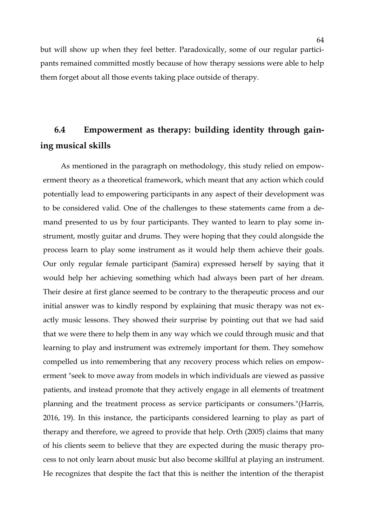but will show up when they feel better. Paradoxically, some of our regular participants remained committed mostly because of how therapy sessions were able to help them forget about all those events taking place outside of therapy.

# **6.4 Empowerment as therapy: building identity through gaining musical skills**

As mentioned in the paragraph on methodology, this study relied on empowerment theory as a theoretical framework, which meant that any action which could potentially lead to empowering participants in any aspect of their development was to be considered valid. One of the challenges to these statements came from a demand presented to us by four participants. They wanted to learn to play some instrument, mostly guitar and drums. They were hoping that they could alongside the process learn to play some instrument as it would help them achieve their goals. Our only regular female participant (Samira) expressed herself by saying that it would help her achieving something which had always been part of her dream. Their desire at first glance seemed to be contrary to the therapeutic process and our initial answer was to kindly respond by explaining that music therapy was not exactly music lessons. They showed their surprise by pointing out that we had said that we were there to help them in any way which we could through music and that learning to play and instrument was extremely important for them. They somehow compelled us into remembering that any recovery process which relies on empowerment "seek to move away from models in which individuals are viewed as passive patients, and instead promote that they actively engage in all elements of treatment planning and the treatment process as service participants or consumers."(Harris, 2016, 19). In this instance, the participants considered learning to play as part of therapy and therefore, we agreed to provide that help. Orth (2005) claims that many of his clients seem to believe that they are expected during the music therapy process to not only learn about music but also become skillful at playing an instrument. He recognizes that despite the fact that this is neither the intention of the therapist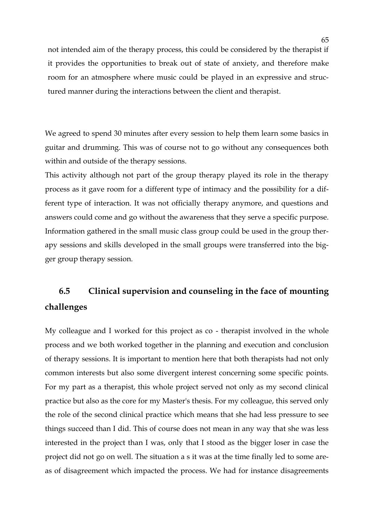not intended aim of the therapy process, this could be considered by the therapist if it provides the opportunities to break out of state of anxiety, and therefore make room for an atmosphere where music could be played in an expressive and structured manner during the interactions between the client and therapist.

We agreed to spend 30 minutes after every session to help them learn some basics in guitar and drumming. This was of course not to go without any consequences both within and outside of the therapy sessions.

This activity although not part of the group therapy played its role in the therapy process as it gave room for a different type of intimacy and the possibility for a different type of interaction. It was not officially therapy anymore, and questions and answers could come and go without the awareness that they serve a specific purpose. Information gathered in the small music class group could be used in the group therapy sessions and skills developed in the small groups were transferred into the bigger group therapy session.

# **6.5 Clinical supervision and counseling in the face of mounting challenges**

My colleague and I worked for this project as co - therapist involved in the whole process and we both worked together in the planning and execution and conclusion of therapy sessions. It is important to mention here that both therapists had not only common interests but also some divergent interest concerning some specific points. For my part as a therapist, this whole project served not only as my second clinical practice but also as the core for my Master's thesis. For my colleague, this served only the role of the second clinical practice which means that she had less pressure to see things succeed than I did. This of course does not mean in any way that she was less interested in the project than I was, only that I stood as the bigger loser in case the project did not go on well. The situation a s it was at the time finally led to some areas of disagreement which impacted the process. We had for instance disagreements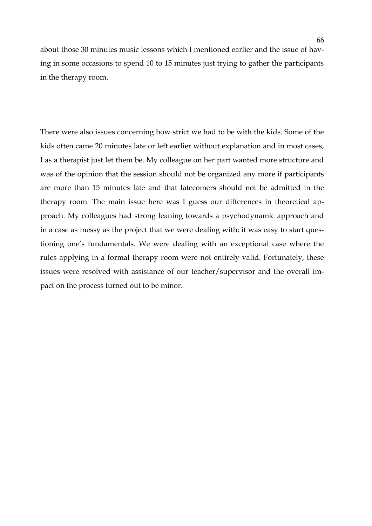about those 30 minutes music lessons which I mentioned earlier and the issue of having in some occasions to spend 10 to 15 minutes just trying to gather the participants in the therapy room.

There were also issues concerning how strict we had to be with the kids. Some of the kids often came 20 minutes late or left earlier without explanation and in most cases, I as a therapist just let them be. My colleague on her part wanted more structure and was of the opinion that the session should not be organized any more if participants are more than 15 minutes late and that latecomers should not be admitted in the therapy room. The main issue here was I guess our differences in theoretical approach. My colleagues had strong leaning towards a psychodynamic approach and in a case as messy as the project that we were dealing with; it was easy to start questioning one's fundamentals. We were dealing with an exceptional case where the rules applying in a formal therapy room were not entirely valid. Fortunately, these issues were resolved with assistance of our teacher/supervisor and the overall impact on the process turned out to be minor.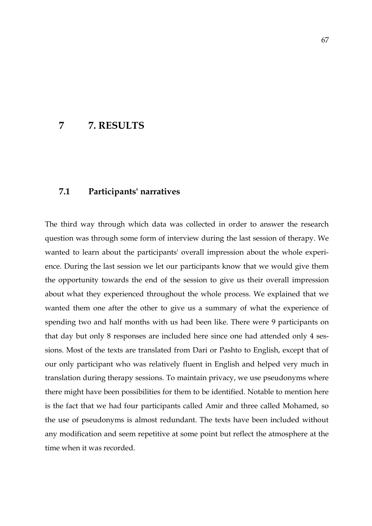# **7 7. RESULTS**

### **7.1 Participants' narratives**

The third way through which data was collected in order to answer the research question was through some form of interview during the last session of therapy. We wanted to learn about the participants' overall impression about the whole experience. During the last session we let our participants know that we would give them the opportunity towards the end of the session to give us their overall impression about what they experienced throughout the whole process. We explained that we wanted them one after the other to give us a summary of what the experience of spending two and half months with us had been like. There were 9 participants on that day but only 8 responses are included here since one had attended only 4 sessions. Most of the texts are translated from Dari or Pashto to English, except that of our only participant who was relatively fluent in English and helped very much in translation during therapy sessions. To maintain privacy, we use pseudonyms where there might have been possibilities for them to be identified. Notable to mention here is the fact that we had four participants called Amir and three called Mohamed, so the use of pseudonyms is almost redundant. The texts have been included without any modification and seem repetitive at some point but reflect the atmosphere at the time when it was recorded.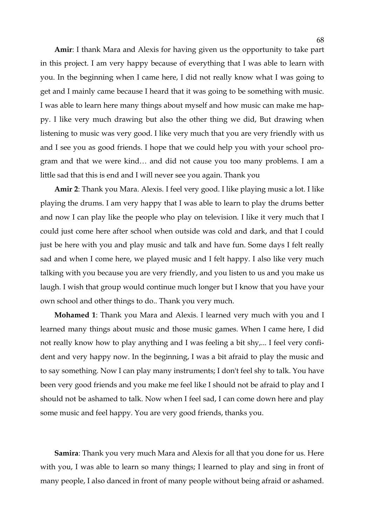**Amir**: I thank Mara and Alexis for having given us the opportunity to take part in this project. I am very happy because of everything that I was able to learn with you. In the beginning when I came here, I did not really know what I was going to get and I mainly came because I heard that it was going to be something with music. I was able to learn here many things about myself and how music can make me happy. I like very much drawing but also the other thing we did, But drawing when listening to music was very good. I like very much that you are very friendly with us and I see you as good friends. I hope that we could help you with your school program and that we were kind… and did not cause you too many problems. I am a little sad that this is end and I will never see you again. Thank you

**Amir 2**: Thank you Mara. Alexis. I feel very good. I like playing music a lot. I like playing the drums. I am very happy that I was able to learn to play the drums better and now I can play like the people who play on television. I like it very much that I could just come here after school when outside was cold and dark, and that I could just be here with you and play music and talk and have fun. Some days I felt really sad and when I come here, we played music and I felt happy. I also like very much talking with you because you are very friendly, and you listen to us and you make us laugh. I wish that group would continue much longer but I know that you have your own school and other things to do.. Thank you very much.

**Mohamed 1**: Thank you Mara and Alexis. I learned very much with you and I learned many things about music and those music games. When I came here, I did not really know how to play anything and I was feeling a bit shy,... I feel very confident and very happy now. In the beginning, I was a bit afraid to play the music and to say something. Now I can play many instruments; I don't feel shy to talk. You have been very good friends and you make me feel like I should not be afraid to play and I should not be ashamed to talk. Now when I feel sad, I can come down here and play some music and feel happy. You are very good friends, thanks you.

**Samira**: Thank you very much Mara and Alexis for all that you done for us. Here with you, I was able to learn so many things; I learned to play and sing in front of many people, I also danced in front of many people without being afraid or ashamed.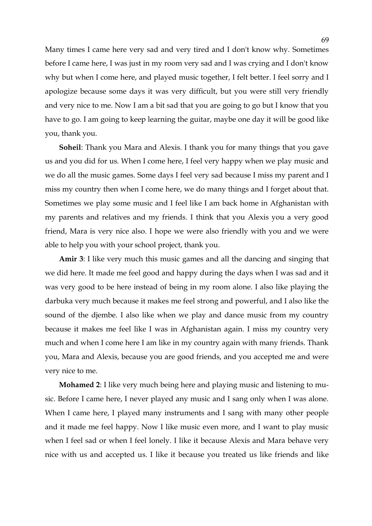Many times I came here very sad and very tired and I don't know why. Sometimes before I came here, I was just in my room very sad and I was crying and I don't know why but when I come here, and played music together, I felt better. I feel sorry and I apologize because some days it was very difficult, but you were still very friendly and very nice to me. Now I am a bit sad that you are going to go but I know that you have to go. I am going to keep learning the guitar, maybe one day it will be good like you, thank you.

**Soheil**: Thank you Mara and Alexis. I thank you for many things that you gave us and you did for us. When I come here, I feel very happy when we play music and we do all the music games. Some days I feel very sad because I miss my parent and I miss my country then when I come here, we do many things and I forget about that. Sometimes we play some music and I feel like I am back home in Afghanistan with my parents and relatives and my friends. I think that you Alexis you a very good friend, Mara is very nice also. I hope we were also friendly with you and we were able to help you with your school project, thank you.

**Amir 3**: I like very much this music games and all the dancing and singing that we did here. It made me feel good and happy during the days when I was sad and it was very good to be here instead of being in my room alone. I also like playing the darbuka very much because it makes me feel strong and powerful, and I also like the sound of the djembe. I also like when we play and dance music from my country because it makes me feel like I was in Afghanistan again. I miss my country very much and when I come here I am like in my country again with many friends. Thank you, Mara and Alexis, because you are good friends, and you accepted me and were very nice to me.

**Mohamed 2**: I like very much being here and playing music and listening to music. Before I came here, I never played any music and I sang only when I was alone. When I came here, I played many instruments and I sang with many other people and it made me feel happy. Now I like music even more, and I want to play music when I feel sad or when I feel lonely. I like it because Alexis and Mara behave very nice with us and accepted us. I like it because you treated us like friends and like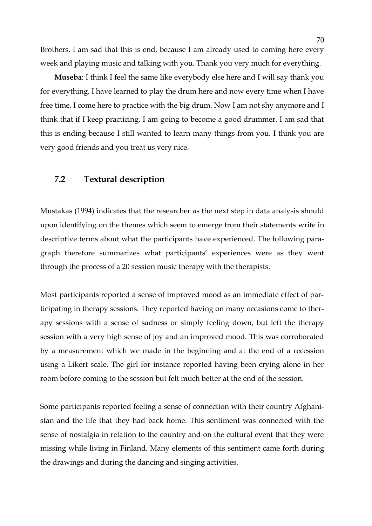Brothers. I am sad that this is end, because I am already used to coming here every week and playing music and talking with you. Thank you very much for everything.

**Museba**: I think I feel the same like everybody else here and I will say thank you for everything. I have learned to play the drum here and now every time when I have free time, I come here to practice with the big drum. Now I am not shy anymore and I think that if I keep practicing, I am going to become a good drummer. I am sad that this is ending because I still wanted to learn many things from you. I think you are very good friends and you treat us very nice.

# **7.2 Textural description**

Mustakas (1994) indicates that the researcher as the next step in data analysis should upon identifying on the themes which seem to emerge from their statements write in descriptive terms about what the participants have experienced. The following paragraph therefore summarizes what participants' experiences were as they went through the process of a 20 session music therapy with the therapists.

Most participants reported a sense of improved mood as an immediate effect of participating in therapy sessions. They reported having on many occasions come to therapy sessions with a sense of sadness or simply feeling down, but left the therapy session with a very high sense of joy and an improved mood. This was corroborated by a measurement which we made in the beginning and at the end of a recession using a Likert scale. The girl for instance reported having been crying alone in her room before coming to the session but felt much better at the end of the session.

Some participants reported feeling a sense of connection with their country Afghanistan and the life that they had back home. This sentiment was connected with the sense of nostalgia in relation to the country and on the cultural event that they were missing while living in Finland. Many elements of this sentiment came forth during the drawings and during the dancing and singing activities.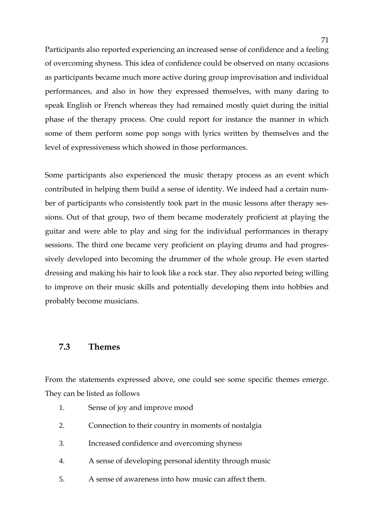Participants also reported experiencing an increased sense of confidence and a feeling of overcoming shyness. This idea of confidence could be observed on many occasions as participants became much more active during group improvisation and individual performances, and also in how they expressed themselves, with many daring to speak English or French whereas they had remained mostly quiet during the initial phase of the therapy process. One could report for instance the manner in which some of them perform some pop songs with lyrics written by themselves and the level of expressiveness which showed in those performances.

Some participants also experienced the music therapy process as an event which contributed in helping them build a sense of identity. We indeed had a certain number of participants who consistently took part in the music lessons after therapy sessions. Out of that group, two of them became moderately proficient at playing the guitar and were able to play and sing for the individual performances in therapy sessions. The third one became very proficient on playing drums and had progressively developed into becoming the drummer of the whole group. He even started dressing and making his hair to look like a rock star. They also reported being willing to improve on their music skills and potentially developing them into hobbies and probably become musicians.

### **7.3 Themes**

From the statements expressed above, one could see some specific themes emerge. They can be listed as follows

- 1. Sense of joy and improve mood
- 2. Connection to their country in moments of nostalgia
- 3. Increased confidence and overcoming shyness
- 4. A sense of developing personal identity through music
- 5. A sense of awareness into how music can affect them.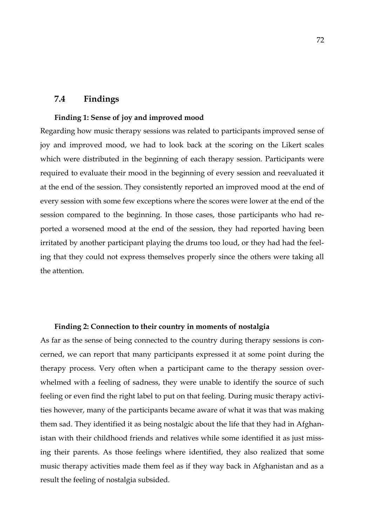### **7.4 Findings**

#### **Finding 1: Sense of joy and improved mood**

Regarding how music therapy sessions was related to participants improved sense of joy and improved mood, we had to look back at the scoring on the Likert scales which were distributed in the beginning of each therapy session. Participants were required to evaluate their mood in the beginning of every session and reevaluated it at the end of the session. They consistently reported an improved mood at the end of every session with some few exceptions where the scores were lower at the end of the session compared to the beginning. In those cases, those participants who had reported a worsened mood at the end of the session, they had reported having been irritated by another participant playing the drums too loud, or they had had the feeling that they could not express themselves properly since the others were taking all the attention.

#### **Finding 2: Connection to their country in moments of nostalgia**

As far as the sense of being connected to the country during therapy sessions is concerned, we can report that many participants expressed it at some point during the therapy process. Very often when a participant came to the therapy session overwhelmed with a feeling of sadness, they were unable to identify the source of such feeling or even find the right label to put on that feeling. During music therapy activities however, many of the participants became aware of what it was that was making them sad. They identified it as being nostalgic about the life that they had in Afghanistan with their childhood friends and relatives while some identified it as just missing their parents. As those feelings where identified, they also realized that some music therapy activities made them feel as if they way back in Afghanistan and as a result the feeling of nostalgia subsided.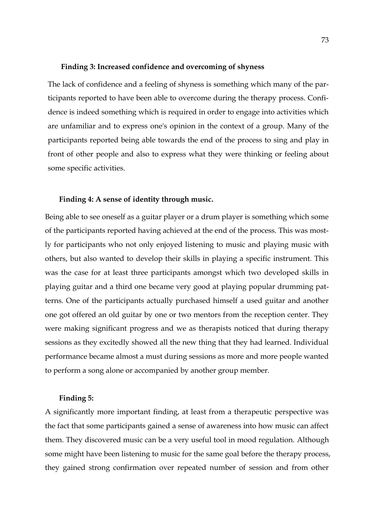#### **Finding 3: Increased confidence and overcoming of shyness**

The lack of confidence and a feeling of shyness is something which many of the participants reported to have been able to overcome during the therapy process. Confidence is indeed something which is required in order to engage into activities which are unfamiliar and to express one's opinion in the context of a group. Many of the participants reported being able towards the end of the process to sing and play in front of other people and also to express what they were thinking or feeling about some specific activities.

#### **Finding 4: A sense of identity through music.**

Being able to see oneself as a guitar player or a drum player is something which some of the participants reported having achieved at the end of the process. This was mostly for participants who not only enjoyed listening to music and playing music with others, but also wanted to develop their skills in playing a specific instrument. This was the case for at least three participants amongst which two developed skills in playing guitar and a third one became very good at playing popular drumming patterns. One of the participants actually purchased himself a used guitar and another one got offered an old guitar by one or two mentors from the reception center. They were making significant progress and we as therapists noticed that during therapy sessions as they excitedly showed all the new thing that they had learned. Individual performance became almost a must during sessions as more and more people wanted to perform a song alone or accompanied by another group member.

#### **Finding 5:**

A significantly more important finding, at least from a therapeutic perspective was the fact that some participants gained a sense of awareness into how music can affect them. They discovered music can be a very useful tool in mood regulation. Although some might have been listening to music for the same goal before the therapy process, they gained strong confirmation over repeated number of session and from other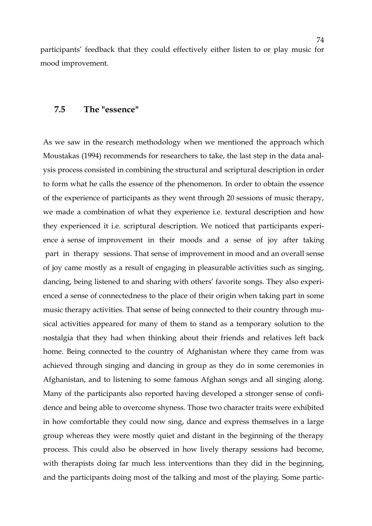participants' feedback that they could effectively either listen to or play music for mood improvement.

### **7.5 The "essence"**

As we saw in the research methodology when we mentioned the approach which Moustakas (1994) recommends for researchers to take, the last step in the data analysis process consisted in combining the structural and scriptural description in order to form what he calls the essence of the phenomenon. In order to obtain the essence of the experience of participants as they went through 20 sessions of music therapy, we made a combination of what they experience i.e. textural description and how they experienced it i.e. scriptural description. We noticed that participants experience a sense of improvement in their moods and a sense of joy after taking 'part 'in 'therapy 'sessions. That sense of improvement in mood and an overall sense of joy came mostly as a result of engaging in pleasurable activities such as singing, dancing, being listened to and sharing with others' favorite songs. They also experienced a sense of connectedness to the place of their origin when taking part in some music therapy activities. That sense of being connected to their country through musical activities appeared for many of them to stand as a temporary solution to the nostalgia that they had when thinking about their friends and relatives left back home. Being connected to the country of Afghanistan where they came from was achieved through singing and dancing in group as they do in some ceremonies in Afghanistan, and to listening to some famous Afghan songs and all singing along. Many of the participants also reported having developed a stronger sense of confidence and being able to overcome shyness. Those two character traits were exhibited in how comfortable they could now sing, dance and express themselves in a large group whereas they were mostly quiet and distant in the beginning of the therapy process. This could also be observed in how lively therapy sessions had become, with therapists doing far much less interventions than they did in the beginning, and the participants doing most of the talking and most of the playing. Some partic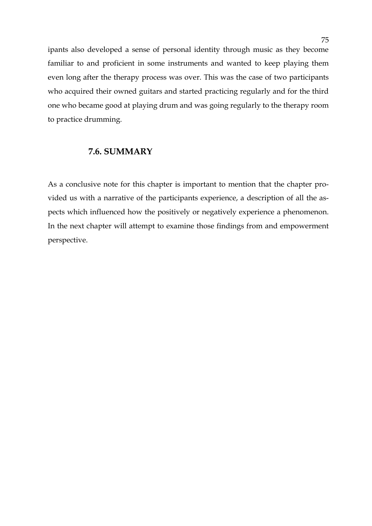ipants also developed a sense of personal identity through music as they become familiar to and proficient in some instruments and wanted to keep playing them even long after the therapy process was over. This was the case of two participants who acquired their owned guitars and started practicing regularly and for the third one who became good at playing drum and was going regularly to the therapy room to practice drumming.

### **7.6. SUMMARY**

As a conclusive note for this chapter is important to mention that the chapter provided us with a narrative of the participants experience, a description of all the aspects which influenced how the positively or negatively experience a phenomenon. In the next chapter will attempt to examine those findings from and empowerment perspective.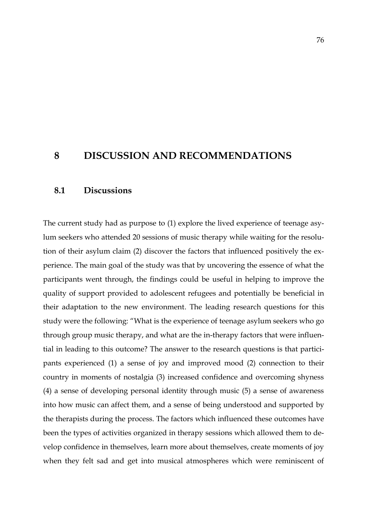# **8 DISCUSSION AND RECOMMENDATIONS**

## **8.1 Discussions**

The current study had as purpose to (1) explore the lived experience of teenage asylum seekers who attended 20 sessions of music therapy while waiting for the resolution of their asylum claim (2) discover the factors that influenced positively the experience. The main goal of the study was that by uncovering the essence of what the participants went through, the findings could be useful in helping to improve the quality of support provided to adolescent refugees and potentially be beneficial in their adaptation to the new environment. The leading research questions for this study were the following: "What is the experience of teenage asylum seekers who go through group music therapy, and what are the in-therapy factors that were influential in leading to this outcome? The answer to the research questions is that participants experienced (1) a sense of joy and improved mood (2) connection to their country in moments of nostalgia (3) increased confidence and overcoming shyness (4) a sense of developing personal identity through music (5) a sense of awareness into how music can affect them, and a sense of being understood and supported by the therapists during the process. The factors which influenced these outcomes have been the types of activities organized in therapy sessions which allowed them to develop confidence in themselves, learn more about themselves, create moments of joy when they felt sad and get into musical atmospheres which were reminiscent of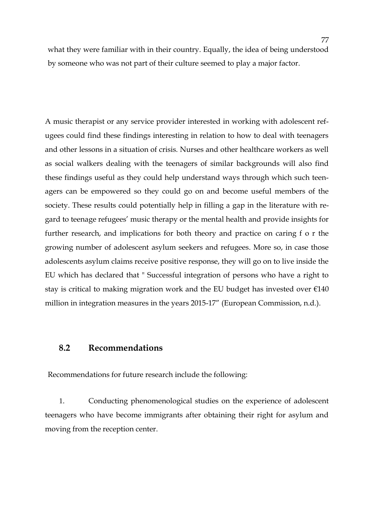what they were familiar with in their country. Equally, the idea of being understood by someone who was not part of their culture seemed to play a major factor.

A music therapist or any service provider interested in working with adolescent refugees could find these findings interesting in relation to how to deal with teenagers and other lessons in a situation of crisis. Nurses and other healthcare workers as well as social walkers dealing with the teenagers of similar backgrounds will also find these findings useful as they could help understand ways through which such teenagers can be empowered so they could go on and become useful members of the society. These results could potentially help in filling a gap in the literature with regard to teenage refugees' music therapy or the mental health and provide insights for further research, and implications for both theory and practice on caring f o r the growing number of adolescent asylum seekers and refugees. More so, in case those adolescents asylum claims receive positive response, they will go on to live inside the EU which has declared that " Successful integration of persons who have a right to stay is critical to making migration work and the EU budget has invested over  $\epsilon$ 140 million in integration measures in the years 2015-17" (European Commission, n.d.).

## **8.2 Recommendations**

Recommendations for future research include the following:

1. Conducting phenomenological studies on the experience of adolescent teenagers who have become immigrants after obtaining their right for asylum and moving from the reception center.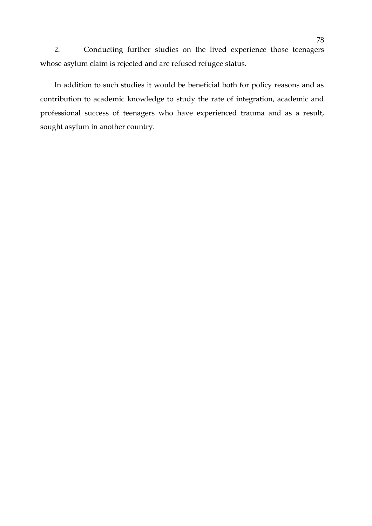2. Conducting further studies on the lived experience those teenagers whose asylum claim is rejected and are refused refugee status.

In addition to such studies it would be beneficial both for policy reasons and as contribution to academic knowledge to study the rate of integration, academic and professional success of teenagers who have experienced trauma and as a result, sought asylum in another country.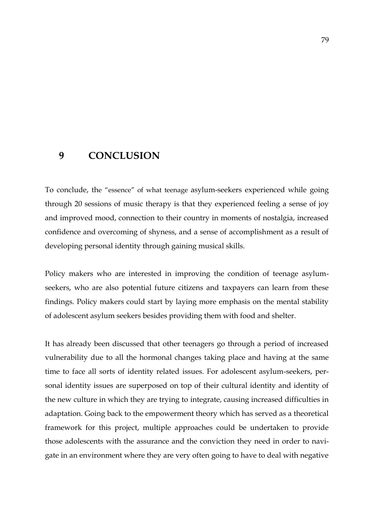# **9 CONCLUSION**

To conclude, the "essence" of what teenage asylum-seekers experienced while going through 20 sessions of music therapy is that they experienced feeling a sense of joy and improved mood, connection to their country in moments of nostalgia, increased confidence and overcoming of shyness, and a sense of accomplishment as a result of developing personal identity through gaining musical skills.

Policy makers who are interested in improving the condition of teenage asylumseekers, who are also potential future citizens and taxpayers can learn from these findings. Policy makers could start by laying more emphasis on the mental stability of adolescent asylum seekers besides providing them with food and shelter.

It has already been discussed that other teenagers go through a period of increased vulnerability due to all the hormonal changes taking place and having at the same time to face all sorts of identity related issues. For adolescent asylum-seekers, personal identity issues are superposed on top of their cultural identity and identity of the new culture in which they are trying to integrate, causing increased difficulties in adaptation. Going back to the empowerment theory which has served as a theoretical framework for this project, multiple approaches could be undertaken to provide those adolescents with the assurance and the conviction they need in order to navigate in an environment where they are very often going to have to deal with negative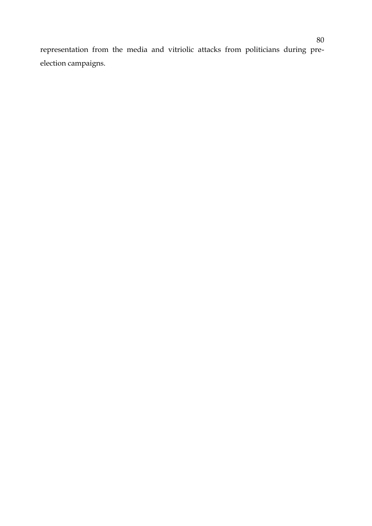representation from the media and vitriolic attacks from politicians during preelection campaigns.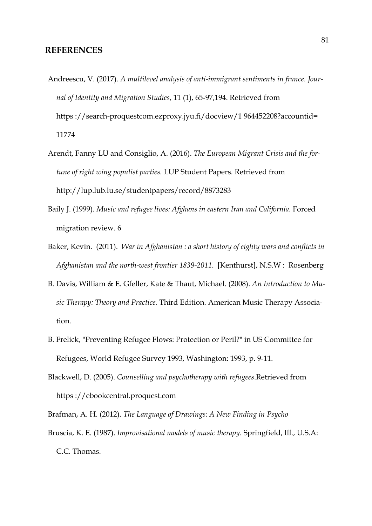### **REFERENCES**

- Andreescu, V. (2017). *A multilevel analysis of anti-immigrant sentiments in france. Journal of Identity and Migration Studies*, 11 (1), 65-97,194. Retrieved from https ://search-proquestcom.ezproxy.jyu.fi/docview/1 964452208?accountid= 11774
- Arendt, Fanny LU and Consiglio, A. (2016). *The European Migrant Crisis and the fortune of right wing populist parties.* LUP Student Papers. Retrieved from http://lup.lub.lu.se/studentpapers/record/8873283
- Baily J. (1999). *Music and refugee lives: Afghans in eastern Iran and California. Forced* migration review. 6
- Baker, Kevin. (2011). *War in Afghanistan : a short history of eighty wars and conflicts in Afghanistan and the north-west frontier 1839-2011*. [Kenthurst], N.S.W : Rosenberg
- B. Davis, William & E. Gfeller, Kate & Thaut, Michael. (2008). *An Introduction to Music Therapy: Theory and Practice.* Third Edition. American Music Therapy Association.
- B. Frelick, "Preventing Refugee Flows: Protection or Peril?" in US Committee for Refugees, World Refugee Survey 1993, Washington: 1993, p. 9-11.
- Blackwell, D. (2005). *Counselling and psychotherapy with refugees*.Retrieved from https ://ebookcentral.proquest.com
- Brafman, A. H. (2012). *The Language of Drawings: A New Finding in Psycho*
- Bruscia, K. E. (1987). *Improvisational models of music therapy*. Springfield, Ill., U.S.A: C.C. Thomas.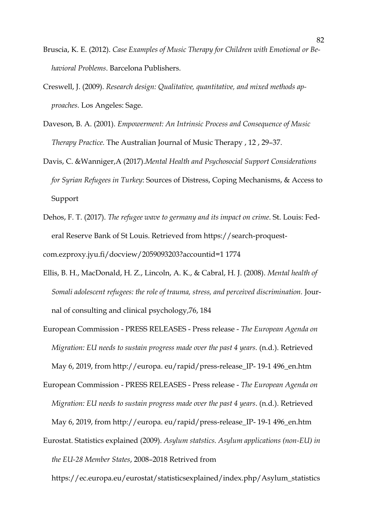- Bruscia, K. E. (2012). *Case Examples of Music Therapy for Children with Emotional or Behavioral Problems*. Barcelona Publishers.
- Creswell, J. (2009). *Research design: Qualitative, quantitative, and mixed methods approaches.* Los Angeles: Sage.
- Daveson, B. A. (2001). *Empowerment: An Intrinsic Process and Consequence of Music Therapy Practice.* The Australian Journal of Music Therapy , 12 , 29–37.
- Davis, C. &Wanniger,A (2017).*Mental Health and Psychosocial Support Considerations for Syrian Refugees in Turkey*: Sources of Distress, Coping Mechanisms, & Access to Support
- Dehos, F. T. (2017). *The refugee wave to germany and its impact on crime*. St. Louis: Federal Reserve Bank of St Louis. Retrieved from https://search-proquestcom.ezproxy.jyu.fi/docview/2059093203?accountid=1 1774
- Ellis, B. H., MacDonald, H. Z., Lincoln, A. K., & Cabral, H. J. (2008). *Mental health of Somali adolescent refugees: the role of trauma, stress, and perceived discrimination.* Journal of consulting and clinical psychology,76, 184
- European Commission PRESS RELEASES Press release *The European Agenda on Migration: EU needs to sustain progress made over the past 4 years.* (n.d.). Retrieved May 6, 2019, from http://europa. eu/rapid/press-release\_IP- 19-1 496\_en.htm
- European Commission PRESS RELEASES Press release *The European Agenda on Migration: EU needs to sustain progress made over the past 4 years*. (n.d.). Retrieved May 6, 2019, from http://europa. eu/rapid/press-release\_IP- 19-1 496\_en.htm
- Eurostat. Statistics explained (2009). *Asylum statstics. Asylum applications (non-EU) in the EU-28 Member States*, 2008–2018 Retrived from

https://ec.europa.eu/eurostat/statisticsexplained/index.php/Asylum\_statistics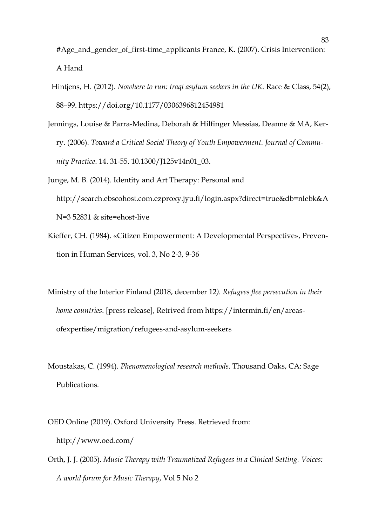#Age\_and\_gender\_of\_first-time\_applicants France, K. (2007). Crisis Intervention: A Hand

- Hintjens, H. (2012). *Nowhere to run: Iraqi asylum seekers in the UK*. Race & Class, 54(2), 88–99. https://doi.org/10.1177/0306396812454981
- Jennings, Louise & Parra-Medina, Deborah & Hilfinger Messias, Deanne & MA, Kerry. (2006). *Toward a Critical Social Theory of Youth Empowerment. Journal of Community Practice*. 14. 31-55. 10.1300/J125v14n01\_03.
- Junge, M. B. (2014). Identity and Art Therapy: Personal and http://search.ebscohost.com.ezproxy.jyu.fi/login.aspx?direct=true&db=nlebk&A N=3 52831 & site=ehost-live
- Kieffer, CH. (1984). «Citizen Empowerment: A Developmental Perspective», Prevention in Human Services, vol. 3, No 2-3, 9-36
- Ministry of the Interior Finland (2018, december 12*). Refugees flee persecution in their home countries*. [press release], Retrived from https://intermin.fi/en/areasofexpertise/migration/refugees-and-asylum-seekers
- Moustakas, C. (1994). *Phenomenological research methods*. Thousand Oaks, CA: Sage Publications.
- OED Online (2019). Oxford University Press. Retrieved from: http://www.oed.com/
- Orth, J. J. (2005). *Music Therapy with Traumatized Refugees in a Clinical Setting. Voices: A world forum for Music Therapy*, Vol 5 No 2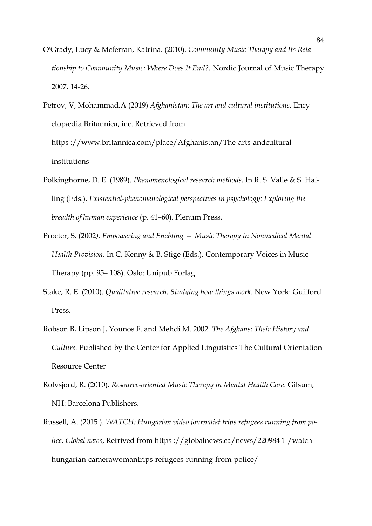- O'Grady, Lucy & Mcferran, Katrina. (2010). *Community Music Therapy and Its Relationship to Community Music: Where Does It End?.* Nordic Journal of Music Therapy. 2007. 14-26.
- Petrov, V, Mohammad.A (2019) *Afghanistan: The art and cultural institutions.* Encyclopædia Britannica, inc. Retrieved from https ://www.britannica.com/place/Afghanistan/The-arts-andculturalinstitutions
- Polkinghorne, D. E. (1989). *Phenomenological research methods.* In R. S. Valle & S. Halling (Eds.), *Existential-phenomenological perspectives in psychology: Exploring the breadth of human experience* (p. 41–60). Plenum Press.
- Procter, S. (2002*). Empowering and Enabling — Music Therapy in Nonmedical Mental Health Provision*. In C. Kenny & B. Stige (Eds.), Contemporary Voices in Music Therapy (pp. 95– 108). Oslo: Unipub Forlag
- Stake, R. E. (2010). *Qualitative research: Studying how things work*. New York: Guilford Press.
- Robson B, Lipson J, Younos F. and Mehdi M. 2002. *The Afghans: Their History and Culture.* Published by the Center for Applied Linguistics The Cultural Orientation Resource Center
- Rolvsjord, R. (2010). *Resource-oriented Music Therapy in Mental Health Care*. Gilsum, NH: Barcelona Publishers.
- Russell, A. (2015 ). *WATCH: Hungarian video journalist trips refugees running from police. Global news*, Retrived from https ://globalnews.ca/news/220984 1 /watchhungarian-camerawomantrips-refugees-running-from-police/